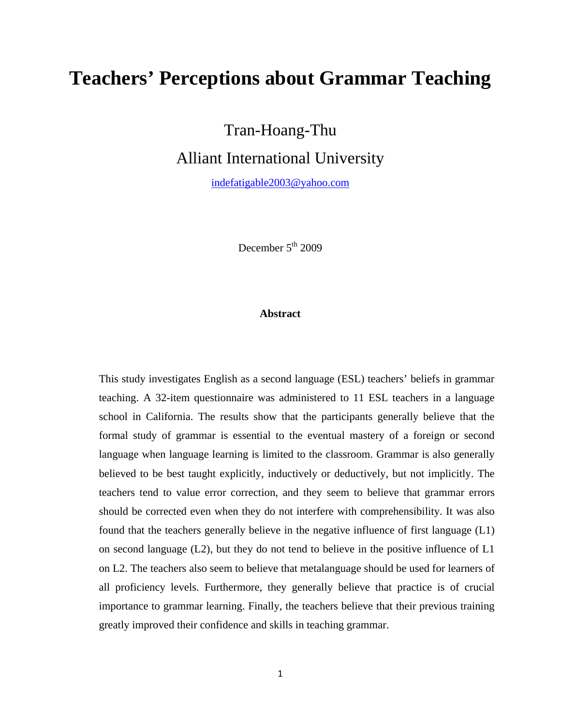# **Teachers' Perceptions about Grammar Teaching**

Tran-Hoang-Thu

Alliant International University

[indefatigable2003@yahoo.com](mailto:indefatigable2003@yahoo.com)

December  $5<sup>th</sup> 2009$ 

#### **Abstract**

This study investigates English as a second language (ESL) teachers' beliefs in grammar teaching. A 32-item questionnaire was administered to 11 ESL teachers in a language school in California. The results show that the participants generally believe that the formal study of grammar is essential to the eventual mastery of a foreign or second language when language learning is limited to the classroom. Grammar is also generally believed to be best taught explicitly, inductively or deductively, but not implicitly. The teachers tend to value error correction, and they seem to believe that grammar errors should be corrected even when they do not interfere with comprehensibility. It was also found that the teachers generally believe in the negative influence of first language (L1) on second language (L2), but they do not tend to believe in the positive influence of L1 on L2. The teachers also seem to believe that metalanguage should be used for learners of all proficiency levels. Furthermore, they generally believe that practice is of crucial importance to grammar learning. Finally, the teachers believe that their previous training greatly improved their confidence and skills in teaching grammar.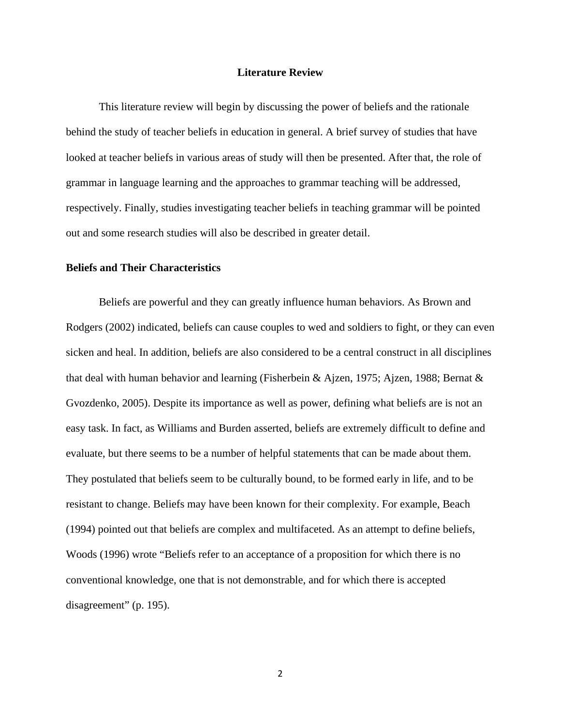#### **Literature Review**

This literature review will begin by discussing the power of beliefs and the rationale behind the study of teacher beliefs in education in general. A brief survey of studies that have looked at teacher beliefs in various areas of study will then be presented. After that, the role of grammar in language learning and the approaches to grammar teaching will be addressed, respectively. Finally, studies investigating teacher beliefs in teaching grammar will be pointed out and some research studies will also be described in greater detail.

#### **Beliefs and Their Characteristics**

Beliefs are powerful and they can greatly influence human behaviors. As Brown and Rodgers (2002) indicated, beliefs can cause couples to wed and soldiers to fight, or they can even sicken and heal. In addition, beliefs are also considered to be a central construct in all disciplines that deal with human behavior and learning (Fisherbein & Ajzen, 1975; Ajzen, 1988; Bernat & Gvozdenko, 2005). Despite its importance as well as power, defining what beliefs are is not an easy task. In fact, as Williams and Burden asserted, beliefs are extremely difficult to define and evaluate, but there seems to be a number of helpful statements that can be made about them. They postulated that beliefs seem to be culturally bound, to be formed early in life, and to be resistant to change. Beliefs may have been known for their complexity. For example, Beach (1994) pointed out that beliefs are complex and multifaceted. As an attempt to define beliefs, Woods (1996) wrote "Beliefs refer to an acceptance of a proposition for which there is no conventional knowledge, one that is not demonstrable, and for which there is accepted disagreement" (p. 195).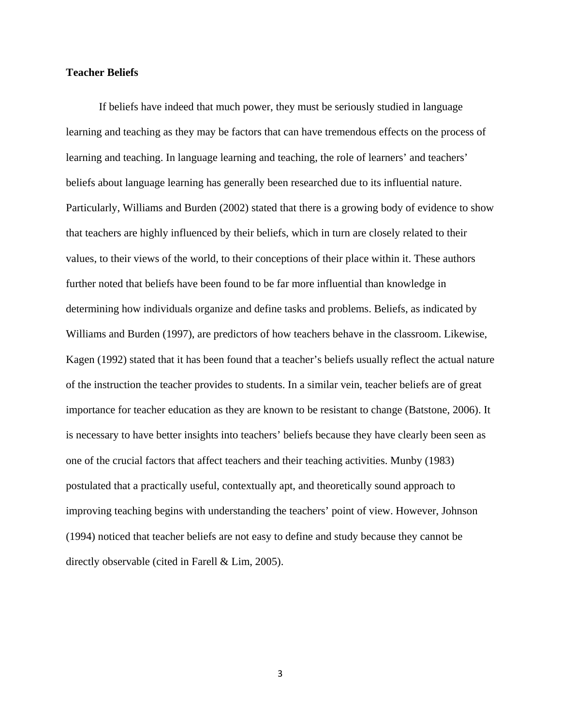#### **Teacher Beliefs**

If beliefs have indeed that much power, they must be seriously studied in language learning and teaching as they may be factors that can have tremendous effects on the process of learning and teaching. In language learning and teaching, the role of learners' and teachers' beliefs about language learning has generally been researched due to its influential nature. Particularly, Williams and Burden (2002) stated that there is a growing body of evidence to show that teachers are highly influenced by their beliefs, which in turn are closely related to their values, to their views of the world, to their conceptions of their place within it. These authors further noted that beliefs have been found to be far more influential than knowledge in determining how individuals organize and define tasks and problems. Beliefs, as indicated by Williams and Burden (1997), are predictors of how teachers behave in the classroom. Likewise, Kagen (1992) stated that it has been found that a teacher's beliefs usually reflect the actual nature of the instruction the teacher provides to students. In a similar vein, teacher beliefs are of great importance for teacher education as they are known to be resistant to change (Batstone, 2006). It is necessary to have better insights into teachers' beliefs because they have clearly been seen as one of the crucial factors that affect teachers and their teaching activities. Munby (1983) postulated that a practically useful, contextually apt, and theoretically sound approach to improving teaching begins with understanding the teachers' point of view. However, Johnson (1994) noticed that teacher beliefs are not easy to define and study because they cannot be directly observable (cited in Farell & Lim, 2005).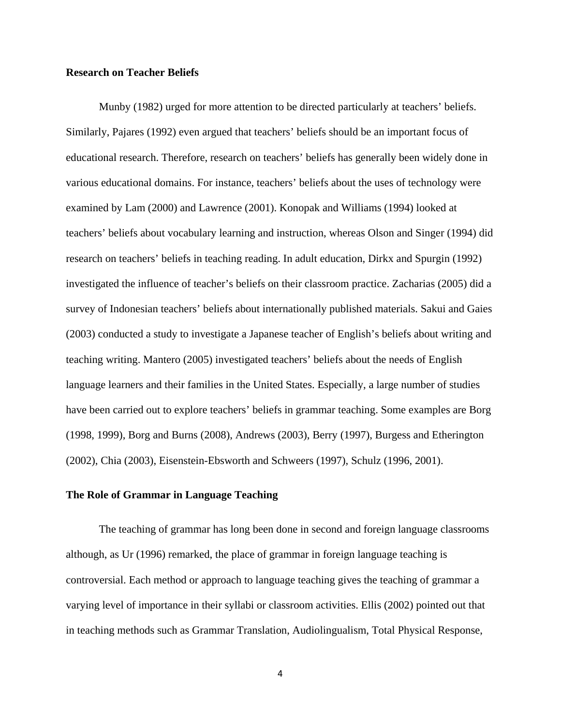#### **Research on Teacher Beliefs**

Munby (1982) urged for more attention to be directed particularly at teachers' beliefs. Similarly, Pajares (1992) even argued that teachers' beliefs should be an important focus of educational research. Therefore, research on teachers' beliefs has generally been widely done in various educational domains. For instance, teachers' beliefs about the uses of technology were examined by Lam (2000) and Lawrence (2001). Konopak and Williams (1994) looked at teachers' beliefs about vocabulary learning and instruction, whereas Olson and Singer (1994) did research on teachers' beliefs in teaching reading. In adult education, Dirkx and Spurgin (1992) investigated the influence of teacher's beliefs on their classroom practice. Zacharias (2005) did a survey of Indonesian teachers' beliefs about internationally published materials. Sakui and Gaies (2003) conducted a study to investigate a Japanese teacher of English's beliefs about writing and teaching writing. Mantero (2005) investigated teachers' beliefs about the needs of English language learners and their families in the United States. Especially, a large number of studies have been carried out to explore teachers' beliefs in grammar teaching. Some examples are Borg (1998, 1999), Borg and Burns (2008), Andrews (2003), Berry (1997), Burgess and Etherington (2002), Chia (2003), Eisenstein-Ebsworth and Schweers (1997), Schulz (1996, 2001).

#### **The Role of Grammar in Language Teaching**

The teaching of grammar has long been done in second and foreign language classrooms although, as Ur (1996) remarked, the place of grammar in foreign language teaching is controversial. Each method or approach to language teaching gives the teaching of grammar a varying level of importance in their syllabi or classroom activities. Ellis (2002) pointed out that in teaching methods such as Grammar Translation, Audiolingualism, Total Physical Response,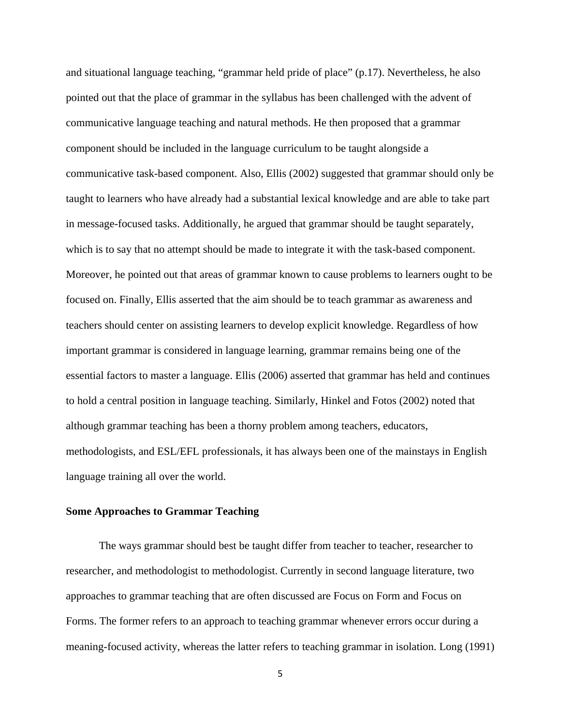and situational language teaching, "grammar held pride of place" (p.17). Nevertheless, he also pointed out that the place of grammar in the syllabus has been challenged with the advent of communicative language teaching and natural methods. He then proposed that a grammar component should be included in the language curriculum to be taught alongside a communicative task-based component. Also, Ellis (2002) suggested that grammar should only be taught to learners who have already had a substantial lexical knowledge and are able to take part in message-focused tasks. Additionally, he argued that grammar should be taught separately, which is to say that no attempt should be made to integrate it with the task-based component. Moreover, he pointed out that areas of grammar known to cause problems to learners ought to be focused on. Finally, Ellis asserted that the aim should be to teach grammar as awareness and teachers should center on assisting learners to develop explicit knowledge. Regardless of how important grammar is considered in language learning, grammar remains being one of the essential factors to master a language. Ellis (2006) asserted that grammar has held and continues to hold a central position in language teaching. Similarly, Hinkel and Fotos (2002) noted that although grammar teaching has been a thorny problem among teachers, educators, methodologists, and ESL/EFL professionals, it has always been one of the mainstays in English language training all over the world.

#### **Some Approaches to Grammar Teaching**

The ways grammar should best be taught differ from teacher to teacher, researcher to researcher, and methodologist to methodologist. Currently in second language literature, two approaches to grammar teaching that are often discussed are Focus on Form and Focus on Forms. The former refers to an approach to teaching grammar whenever errors occur during a meaning-focused activity, whereas the latter refers to teaching grammar in isolation. Long (1991)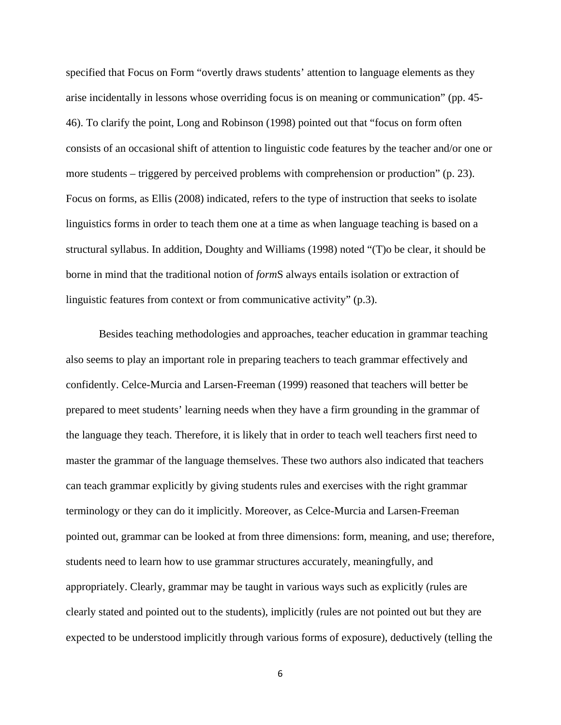specified that Focus on Form "overtly draws students' attention to language elements as they arise incidentally in lessons whose overriding focus is on meaning or communication" (pp. 45- 46). To clarify the point, Long and Robinson (1998) pointed out that "focus on form often consists of an occasional shift of attention to linguistic code features by the teacher and/or one or more students – triggered by perceived problems with comprehension or production" (p. 23). Focus on forms, as Ellis (2008) indicated, refers to the type of instruction that seeks to isolate linguistics forms in order to teach them one at a time as when language teaching is based on a structural syllabus. In addition, Doughty and Williams (1998) noted "(T)o be clear, it should be borne in mind that the traditional notion of *form*S always entails isolation or extraction of linguistic features from context or from communicative activity" (p.3).

Besides teaching methodologies and approaches, teacher education in grammar teaching also seems to play an important role in preparing teachers to teach grammar effectively and confidently. Celce-Murcia and Larsen-Freeman (1999) reasoned that teachers will better be prepared to meet students' learning needs when they have a firm grounding in the grammar of the language they teach. Therefore, it is likely that in order to teach well teachers first need to master the grammar of the language themselves. These two authors also indicated that teachers can teach grammar explicitly by giving students rules and exercises with the right grammar terminology or they can do it implicitly. Moreover, as Celce-Murcia and Larsen-Freeman pointed out, grammar can be looked at from three dimensions: form, meaning, and use; therefore, students need to learn how to use grammar structures accurately, meaningfully, and appropriately. Clearly, grammar may be taught in various ways such as explicitly (rules are clearly stated and pointed out to the students), implicitly (rules are not pointed out but they are expected to be understood implicitly through various forms of exposure), deductively (telling the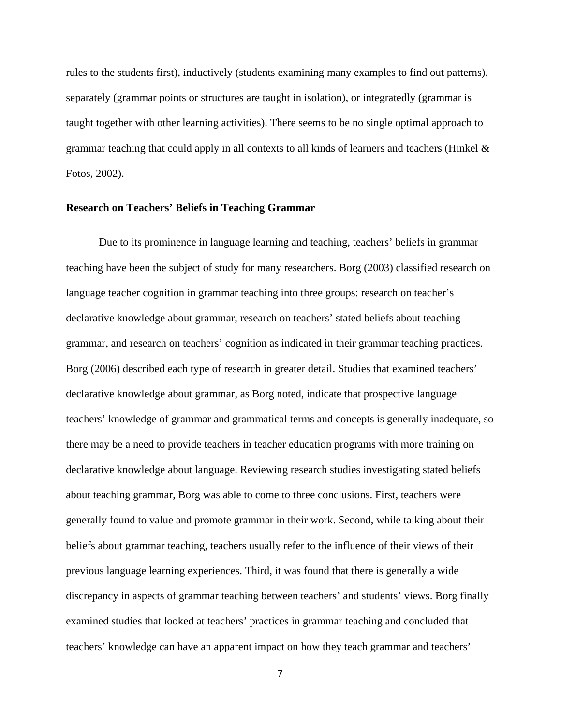rules to the students first), inductively (students examining many examples to find out patterns), separately (grammar points or structures are taught in isolation), or integratedly (grammar is taught together with other learning activities). There seems to be no single optimal approach to grammar teaching that could apply in all contexts to all kinds of learners and teachers (Hinkel & Fotos, 2002).

#### **Research on Teachers' Beliefs in Teaching Grammar**

Due to its prominence in language learning and teaching, teachers' beliefs in grammar teaching have been the subject of study for many researchers. Borg (2003) classified research on language teacher cognition in grammar teaching into three groups: research on teacher's declarative knowledge about grammar, research on teachers' stated beliefs about teaching grammar, and research on teachers' cognition as indicated in their grammar teaching practices. Borg (2006) described each type of research in greater detail. Studies that examined teachers' declarative knowledge about grammar, as Borg noted, indicate that prospective language teachers' knowledge of grammar and grammatical terms and concepts is generally inadequate, so there may be a need to provide teachers in teacher education programs with more training on declarative knowledge about language. Reviewing research studies investigating stated beliefs about teaching grammar, Borg was able to come to three conclusions. First, teachers were generally found to value and promote grammar in their work. Second, while talking about their beliefs about grammar teaching, teachers usually refer to the influence of their views of their previous language learning experiences. Third, it was found that there is generally a wide discrepancy in aspects of grammar teaching between teachers' and students' views. Borg finally examined studies that looked at teachers' practices in grammar teaching and concluded that teachers' knowledge can have an apparent impact on how they teach grammar and teachers'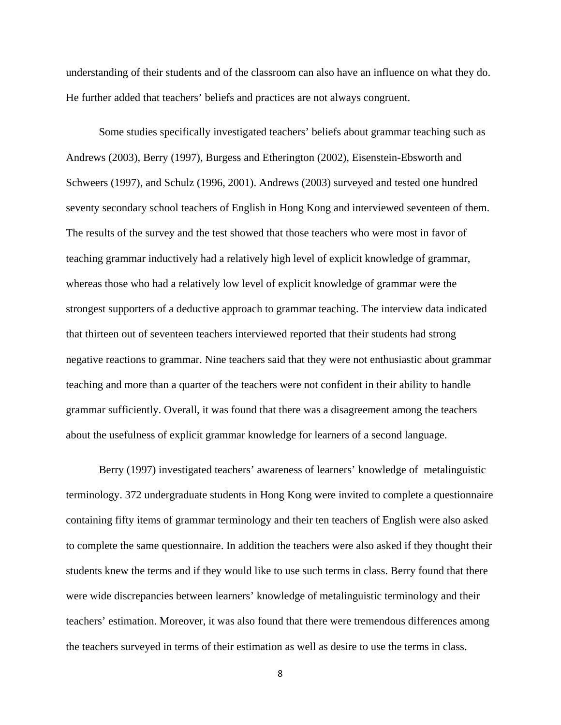understanding of their students and of the classroom can also have an influence on what they do. He further added that teachers' beliefs and practices are not always congruent.

Some studies specifically investigated teachers' beliefs about grammar teaching such as Andrews (2003), Berry (1997), Burgess and Etherington (2002), Eisenstein-Ebsworth and Schweers (1997), and Schulz (1996, 2001). Andrews (2003) surveyed and tested one hundred seventy secondary school teachers of English in Hong Kong and interviewed seventeen of them. The results of the survey and the test showed that those teachers who were most in favor of teaching grammar inductively had a relatively high level of explicit knowledge of grammar, whereas those who had a relatively low level of explicit knowledge of grammar were the strongest supporters of a deductive approach to grammar teaching. The interview data indicated that thirteen out of seventeen teachers interviewed reported that their students had strong negative reactions to grammar. Nine teachers said that they were not enthusiastic about grammar teaching and more than a quarter of the teachers were not confident in their ability to handle grammar sufficiently. Overall, it was found that there was a disagreement among the teachers about the usefulness of explicit grammar knowledge for learners of a second language.

Berry (1997) investigated teachers' awareness of learners' knowledge of metalinguistic terminology. 372 undergraduate students in Hong Kong were invited to complete a questionnaire containing fifty items of grammar terminology and their ten teachers of English were also asked to complete the same questionnaire. In addition the teachers were also asked if they thought their students knew the terms and if they would like to use such terms in class. Berry found that there were wide discrepancies between learners' knowledge of metalinguistic terminology and their teachers' estimation. Moreover, it was also found that there were tremendous differences among the teachers surveyed in terms of their estimation as well as desire to use the terms in class.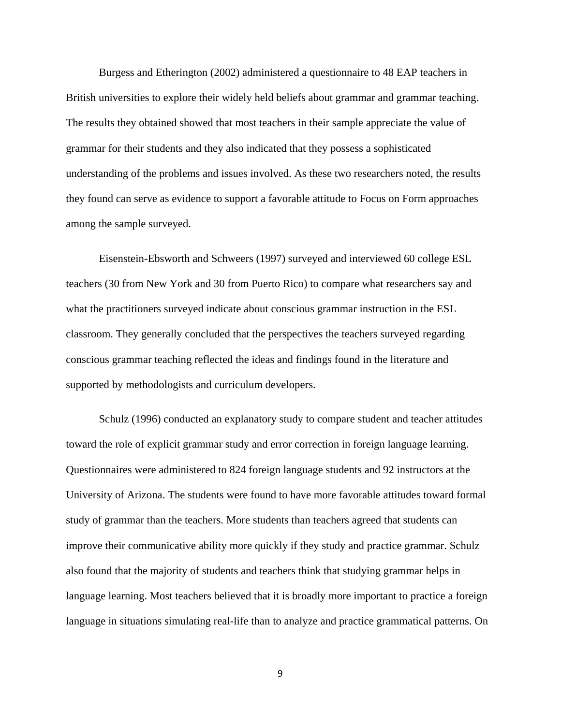Burgess and Etherington (2002) administered a questionnaire to 48 EAP teachers in British universities to explore their widely held beliefs about grammar and grammar teaching. The results they obtained showed that most teachers in their sample appreciate the value of grammar for their students and they also indicated that they possess a sophisticated understanding of the problems and issues involved. As these two researchers noted, the results they found can serve as evidence to support a favorable attitude to Focus on Form approaches among the sample surveyed.

Eisenstein-Ebsworth and Schweers (1997) surveyed and interviewed 60 college ESL teachers (30 from New York and 30 from Puerto Rico) to compare what researchers say and what the practitioners surveyed indicate about conscious grammar instruction in the ESL classroom. They generally concluded that the perspectives the teachers surveyed regarding conscious grammar teaching reflected the ideas and findings found in the literature and supported by methodologists and curriculum developers.

Schulz (1996) conducted an explanatory study to compare student and teacher attitudes toward the role of explicit grammar study and error correction in foreign language learning. Questionnaires were administered to 824 foreign language students and 92 instructors at the University of Arizona. The students were found to have more favorable attitudes toward formal study of grammar than the teachers. More students than teachers agreed that students can improve their communicative ability more quickly if they study and practice grammar. Schulz also found that the majority of students and teachers think that studying grammar helps in language learning. Most teachers believed that it is broadly more important to practice a foreign language in situations simulating real-life than to analyze and practice grammatical patterns. On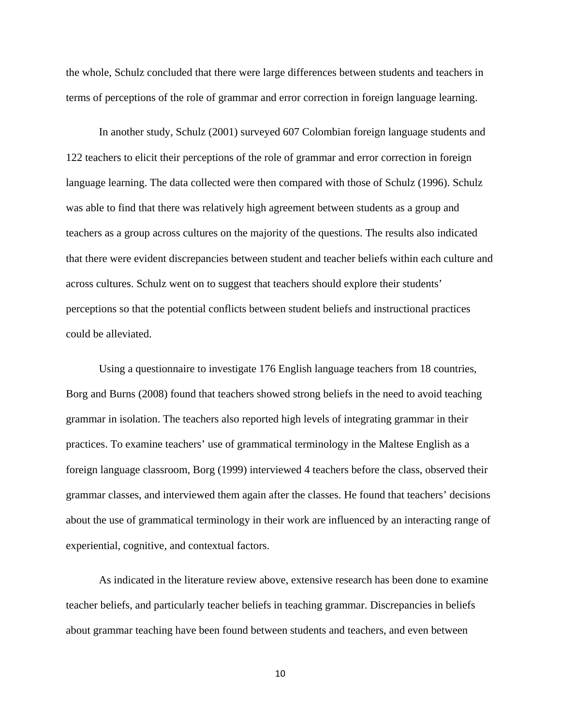the whole, Schulz concluded that there were large differences between students and teachers in terms of perceptions of the role of grammar and error correction in foreign language learning.

In another study, Schulz (2001) surveyed 607 Colombian foreign language students and 122 teachers to elicit their perceptions of the role of grammar and error correction in foreign language learning. The data collected were then compared with those of Schulz (1996). Schulz was able to find that there was relatively high agreement between students as a group and teachers as a group across cultures on the majority of the questions. The results also indicated that there were evident discrepancies between student and teacher beliefs within each culture and across cultures. Schulz went on to suggest that teachers should explore their students' perceptions so that the potential conflicts between student beliefs and instructional practices could be alleviated.

Using a questionnaire to investigate 176 English language teachers from 18 countries, Borg and Burns (2008) found that teachers showed strong beliefs in the need to avoid teaching grammar in isolation. The teachers also reported high levels of integrating grammar in their practices. To examine teachers' use of grammatical terminology in the Maltese English as a foreign language classroom, Borg (1999) interviewed 4 teachers before the class, observed their grammar classes, and interviewed them again after the classes. He found that teachers' decisions about the use of grammatical terminology in their work are influenced by an interacting range of experiential, cognitive, and contextual factors.

As indicated in the literature review above, extensive research has been done to examine teacher beliefs, and particularly teacher beliefs in teaching grammar. Discrepancies in beliefs about grammar teaching have been found between students and teachers, and even between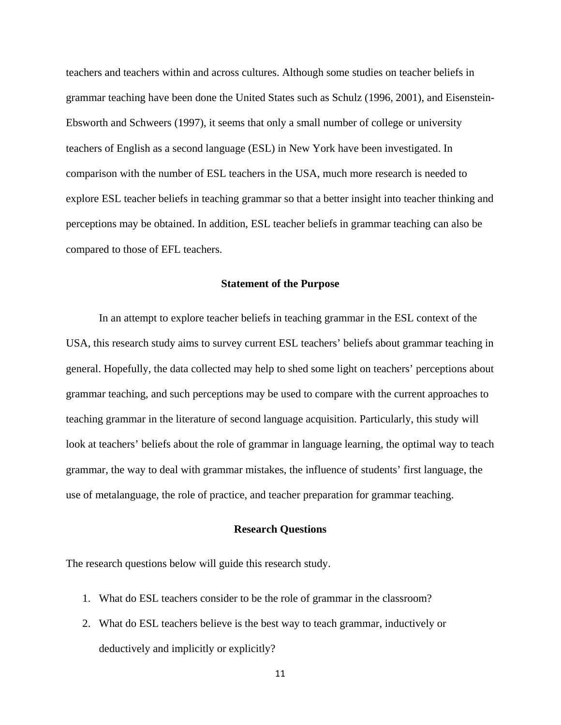teachers and teachers within and across cultures. Although some studies on teacher beliefs in grammar teaching have been done the United States such as Schulz (1996, 2001), and Eisenstein-Ebsworth and Schweers (1997), it seems that only a small number of college or university teachers of English as a second language (ESL) in New York have been investigated. In comparison with the number of ESL teachers in the USA, much more research is needed to explore ESL teacher beliefs in teaching grammar so that a better insight into teacher thinking and perceptions may be obtained. In addition, ESL teacher beliefs in grammar teaching can also be compared to those of EFL teachers.

#### **Statement of the Purpose**

In an attempt to explore teacher beliefs in teaching grammar in the ESL context of the USA, this research study aims to survey current ESL teachers' beliefs about grammar teaching in general. Hopefully, the data collected may help to shed some light on teachers' perceptions about grammar teaching, and such perceptions may be used to compare with the current approaches to teaching grammar in the literature of second language acquisition. Particularly, this study will look at teachers' beliefs about the role of grammar in language learning, the optimal way to teach grammar, the way to deal with grammar mistakes, the influence of students' first language, the use of metalanguage, the role of practice, and teacher preparation for grammar teaching.

#### **Research Questions**

The research questions below will guide this research study.

- 1. What do ESL teachers consider to be the role of grammar in the classroom?
- 2. What do ESL teachers believe is the best way to teach grammar, inductively or deductively and implicitly or explicitly?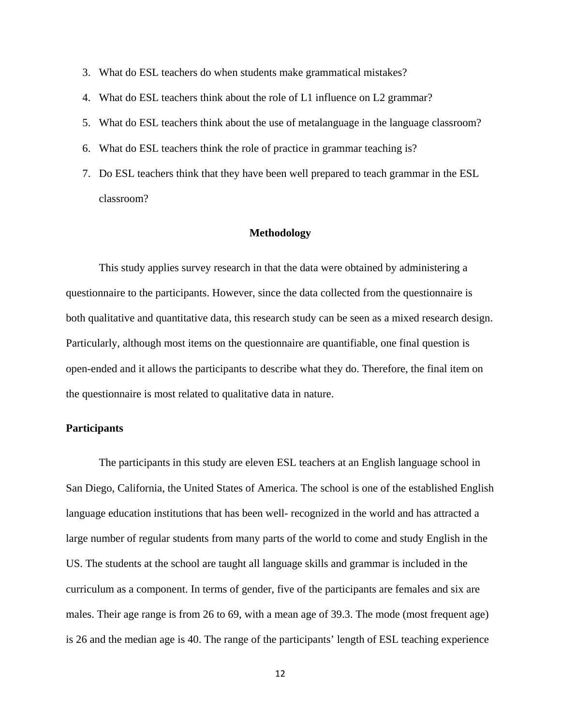- 3. What do ESL teachers do when students make grammatical mistakes?
- 4. What do ESL teachers think about the role of L1 influence on L2 grammar?
- 5. What do ESL teachers think about the use of metalanguage in the language classroom?
- 6. What do ESL teachers think the role of practice in grammar teaching is?
- 7. Do ESL teachers think that they have been well prepared to teach grammar in the ESL classroom?

#### **Methodology**

This study applies survey research in that the data were obtained by administering a questionnaire to the participants. However, since the data collected from the questionnaire is both qualitative and quantitative data, this research study can be seen as a mixed research design. Particularly, although most items on the questionnaire are quantifiable, one final question is open-ended and it allows the participants to describe what they do. Therefore, the final item on the questionnaire is most related to qualitative data in nature.

#### **Participants**

The participants in this study are eleven ESL teachers at an English language school in San Diego, California, the United States of America. The school is one of the established English language education institutions that has been well- recognized in the world and has attracted a large number of regular students from many parts of the world to come and study English in the US. The students at the school are taught all language skills and grammar is included in the curriculum as a component. In terms of gender, five of the participants are females and six are males. Their age range is from 26 to 69, with a mean age of 39.3. The mode (most frequent age) is 26 and the median age is 40. The range of the participants' length of ESL teaching experience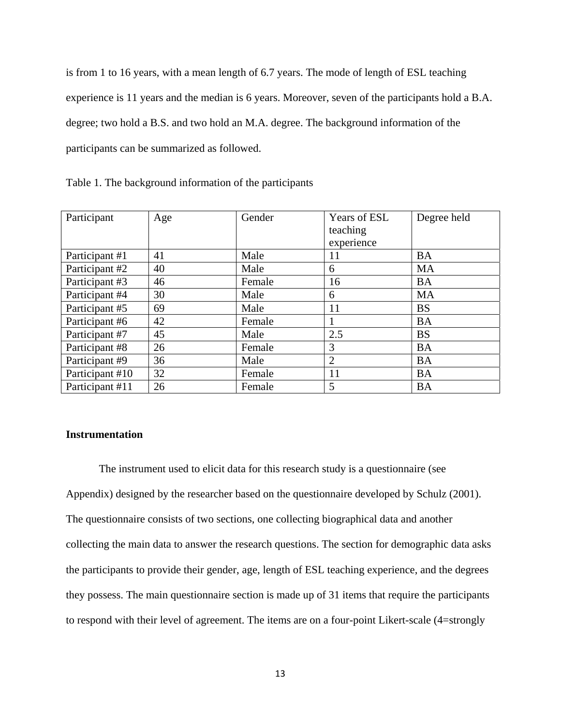is from 1 to 16 years, with a mean length of 6.7 years. The mode of length of ESL teaching experience is 11 years and the median is 6 years. Moreover, seven of the participants hold a B.A. degree; two hold a B.S. and two hold an M.A. degree. The background information of the participants can be summarized as followed.

Table 1. The background information of the participants

| Participant     | Age | Gender | <b>Years of ESL</b> | Degree held |
|-----------------|-----|--------|---------------------|-------------|
|                 |     |        | teaching            |             |
|                 |     |        | experience          |             |
| Participant #1  | 41  | Male   | 11                  | <b>BA</b>   |
| Participant #2  | 40  | Male   | 6                   | <b>MA</b>   |
| Participant #3  | 46  | Female | 16                  | <b>BA</b>   |
| Participant #4  | 30  | Male   | 6                   | <b>MA</b>   |
| Participant #5  | 69  | Male   | 11                  | <b>BS</b>   |
| Participant #6  | 42  | Female |                     | <b>BA</b>   |
| Participant #7  | 45  | Male   | 2.5                 | <b>BS</b>   |
| Participant #8  | 26  | Female | 3                   | <b>BA</b>   |
| Participant #9  | 36  | Male   | $\overline{2}$      | <b>BA</b>   |
| Participant #10 | 32  | Female | 11                  | <b>BA</b>   |
| Participant #11 | 26  | Female | 5                   | <b>BA</b>   |

#### **Instrumentation**

The instrument used to elicit data for this research study is a questionnaire (see Appendix) designed by the researcher based on the questionnaire developed by Schulz (2001). The questionnaire consists of two sections, one collecting biographical data and another collecting the main data to answer the research questions. The section for demographic data asks the participants to provide their gender, age, length of ESL teaching experience, and the degrees they possess. The main questionnaire section is made up of 31 items that require the participants to respond with their level of agreement. The items are on a four-point Likert-scale (4=strongly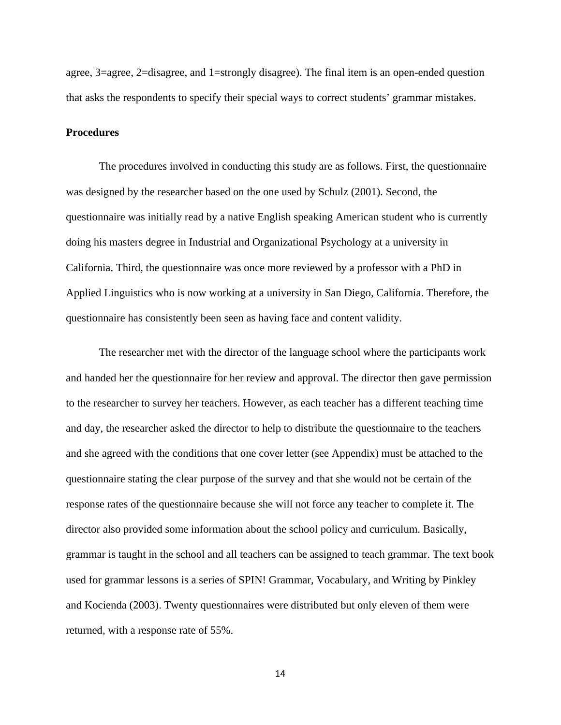agree, 3=agree, 2=disagree, and 1=strongly disagree). The final item is an open-ended question that asks the respondents to specify their special ways to correct students' grammar mistakes.

### **Procedures**

The procedures involved in conducting this study are as follows. First, the questionnaire was designed by the researcher based on the one used by Schulz (2001). Second, the questionnaire was initially read by a native English speaking American student who is currently doing his masters degree in Industrial and Organizational Psychology at a university in California. Third, the questionnaire was once more reviewed by a professor with a PhD in Applied Linguistics who is now working at a university in San Diego, California. Therefore, the questionnaire has consistently been seen as having face and content validity.

The researcher met with the director of the language school where the participants work and handed her the questionnaire for her review and approval. The director then gave permission to the researcher to survey her teachers. However, as each teacher has a different teaching time and day, the researcher asked the director to help to distribute the questionnaire to the teachers and she agreed with the conditions that one cover letter (see Appendix) must be attached to the questionnaire stating the clear purpose of the survey and that she would not be certain of the response rates of the questionnaire because she will not force any teacher to complete it. The director also provided some information about the school policy and curriculum. Basically, grammar is taught in the school and all teachers can be assigned to teach grammar. The text book used for grammar lessons is a series of SPIN! Grammar, Vocabulary, and Writing by Pinkley and Kocienda (2003). Twenty questionnaires were distributed but only eleven of them were returned, with a response rate of 55%.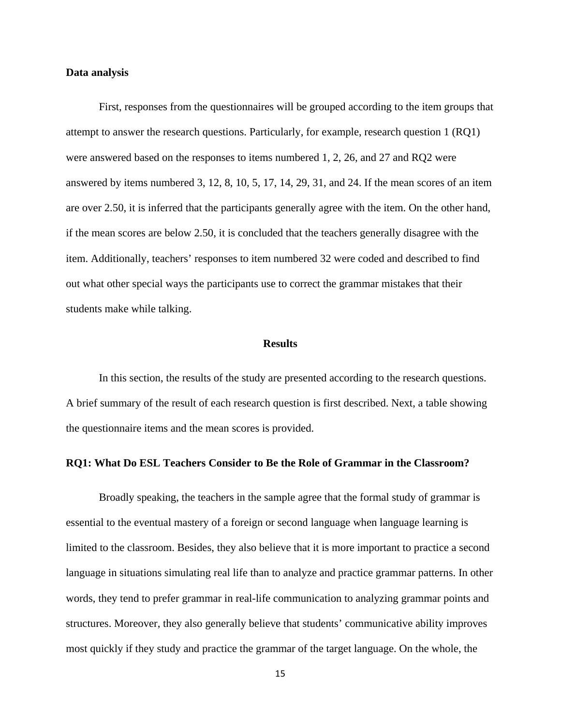#### **Data analysis**

First, responses from the questionnaires will be grouped according to the item groups that attempt to answer the research questions. Particularly, for example, research question 1 (RQ1) were answered based on the responses to items numbered 1, 2, 26, and 27 and RQ2 were answered by items numbered 3, 12, 8, 10, 5, 17, 14, 29, 31, and 24. If the mean scores of an item are over 2.50, it is inferred that the participants generally agree with the item. On the other hand, if the mean scores are below 2.50, it is concluded that the teachers generally disagree with the item. Additionally, teachers' responses to item numbered 32 were coded and described to find out what other special ways the participants use to correct the grammar mistakes that their students make while talking.

#### **Results**

In this section, the results of the study are presented according to the research questions. A brief summary of the result of each research question is first described. Next, a table showing the questionnaire items and the mean scores is provided.

#### **RQ1: What Do ESL Teachers Consider to Be the Role of Grammar in the Classroom?**

Broadly speaking, the teachers in the sample agree that the formal study of grammar is essential to the eventual mastery of a foreign or second language when language learning is limited to the classroom. Besides, they also believe that it is more important to practice a second language in situations simulating real life than to analyze and practice grammar patterns. In other words, they tend to prefer grammar in real-life communication to analyzing grammar points and structures. Moreover, they also generally believe that students' communicative ability improves most quickly if they study and practice the grammar of the target language. On the whole, the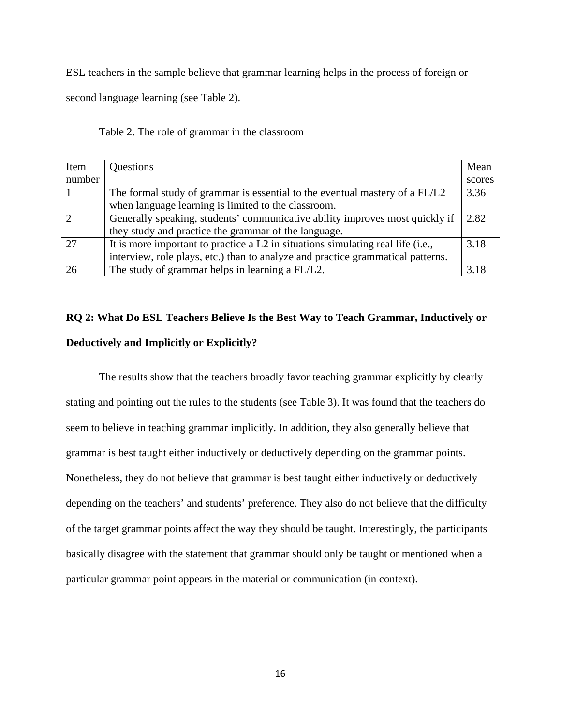ESL teachers in the sample believe that grammar learning helps in the process of foreign or

second language learning (see Table 2).

Table 2. The role of grammar in the classroom

| Item          | Questions                                                                       | Mean   |
|---------------|---------------------------------------------------------------------------------|--------|
| number        |                                                                                 | scores |
|               | The formal study of grammar is essential to the eventual mastery of a FL/L2     | 3.36   |
|               | when language learning is limited to the classroom.                             |        |
| $\mathcal{D}$ | Generally speaking, students' communicative ability improves most quickly if    | 2.82   |
|               | they study and practice the grammar of the language.                            |        |
| 27            | It is more important to practice a L2 in situations simulating real life (i.e., | 3.18   |
|               | interview, role plays, etc.) than to analyze and practice grammatical patterns. |        |
| 26            | The study of grammar helps in learning a FL/L2.                                 | 3.18   |

## **RQ 2: What Do ESL Teachers Believe Is the Best Way to Teach Grammar, Inductively or Deductively and Implicitly or Explicitly?**

The results show that the teachers broadly favor teaching grammar explicitly by clearly stating and pointing out the rules to the students (see Table 3). It was found that the teachers do seem to believe in teaching grammar implicitly. In addition, they also generally believe that grammar is best taught either inductively or deductively depending on the grammar points. Nonetheless, they do not believe that grammar is best taught either inductively or deductively depending on the teachers' and students' preference. They also do not believe that the difficulty of the target grammar points affect the way they should be taught. Interestingly, the participants basically disagree with the statement that grammar should only be taught or mentioned when a particular grammar point appears in the material or communication (in context).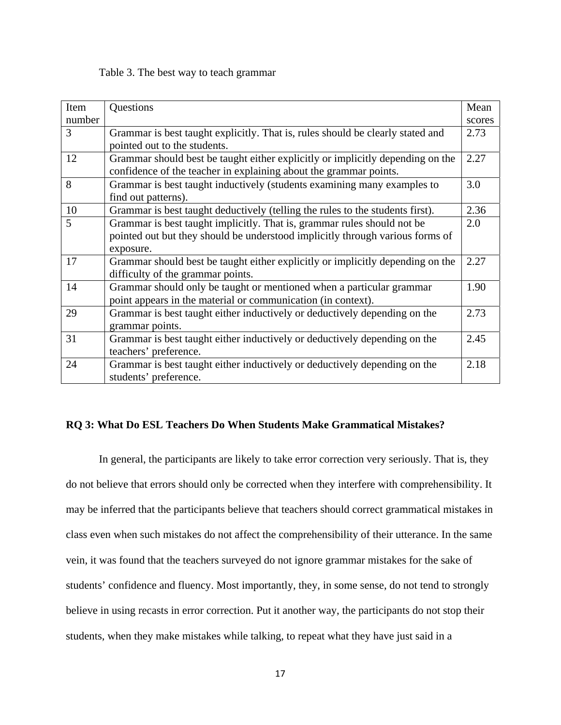#### Table 3. The best way to teach grammar

| Item   | Questions                                                                      | Mean   |
|--------|--------------------------------------------------------------------------------|--------|
| number |                                                                                | scores |
| 3      | Grammar is best taught explicitly. That is, rules should be clearly stated and | 2.73   |
|        | pointed out to the students.                                                   |        |
| 12     | Grammar should best be taught either explicitly or implicitly depending on the | 2.27   |
|        | confidence of the teacher in explaining about the grammar points.              |        |
| 8      | Grammar is best taught inductively (students examining many examples to        | 3.0    |
|        | find out patterns).                                                            |        |
| 10     | Grammar is best taught deductively (telling the rules to the students first).  | 2.36   |
| 5      | Grammar is best taught implicitly. That is, grammar rules should not be        | 2.0    |
|        | pointed out but they should be understood implicitly through various forms of  |        |
|        | exposure.                                                                      |        |
| 17     | Grammar should best be taught either explicitly or implicitly depending on the | 2.27   |
|        | difficulty of the grammar points.                                              |        |
| 14     | Grammar should only be taught or mentioned when a particular grammar           | 1.90   |
|        | point appears in the material or communication (in context).                   |        |
| 29     | Grammar is best taught either inductively or deductively depending on the      | 2.73   |
|        | grammar points.                                                                |        |
| 31     | Grammar is best taught either inductively or deductively depending on the      | 2.45   |
|        | teachers' preference.                                                          |        |
| 24     | Grammar is best taught either inductively or deductively depending on the      | 2.18   |
|        | students' preference.                                                          |        |

#### **RQ 3: What Do ESL Teachers Do When Students Make Grammatical Mistakes?**

In general, the participants are likely to take error correction very seriously. That is, they do not believe that errors should only be corrected when they interfere with comprehensibility. It may be inferred that the participants believe that teachers should correct grammatical mistakes in class even when such mistakes do not affect the comprehensibility of their utterance. In the same vein, it was found that the teachers surveyed do not ignore grammar mistakes for the sake of students' confidence and fluency. Most importantly, they, in some sense, do not tend to strongly believe in using recasts in error correction. Put it another way, the participants do not stop their students, when they make mistakes while talking, to repeat what they have just said in a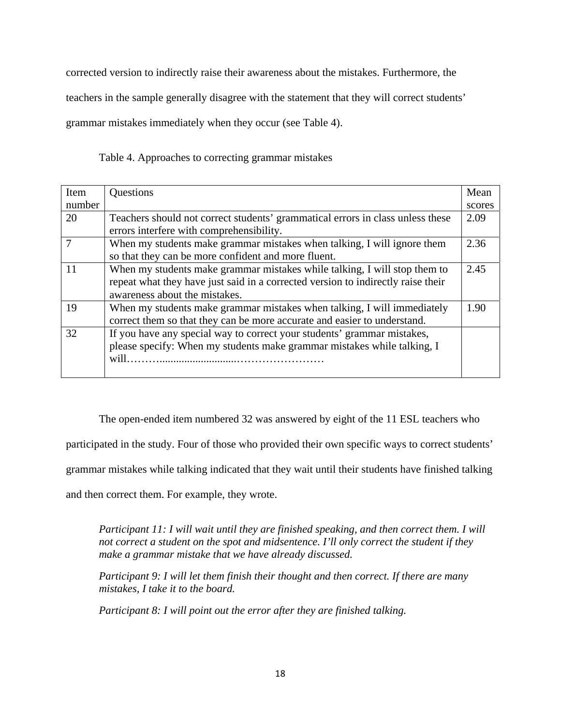corrected version to indirectly raise their awareness about the mistakes. Furthermore, the teachers in the sample generally disagree with the statement that they will correct students' grammar mistakes immediately when they occur (see Table 4).

Table 4. Approaches to correcting grammar mistakes

| Item   | Questions                                                                        | Mean   |
|--------|----------------------------------------------------------------------------------|--------|
| number |                                                                                  | scores |
| 20     | Teachers should not correct students' grammatical errors in class unless these   | 2.09   |
|        | errors interfere with comprehensibility.                                         |        |
|        | When my students make grammar mistakes when talking, I will ignore them          | 2.36   |
|        | so that they can be more confident and more fluent.                              |        |
| 11     | When my students make grammar mistakes while talking, I will stop them to        | 2.45   |
|        | repeat what they have just said in a corrected version to indirectly raise their |        |
|        | awareness about the mistakes.                                                    |        |
| 19     | When my students make grammar mistakes when talking, I will immediately          | 1.90   |
|        | correct them so that they can be more accurate and easier to understand.         |        |
| 32     | If you have any special way to correct your students' grammar mistakes,          |        |
|        | please specify: When my students make grammar mistakes while talking, I          |        |
|        | will.                                                                            |        |
|        |                                                                                  |        |

The open-ended item numbered 32 was answered by eight of the 11 ESL teachers who

participated in the study. Four of those who provided their own specific ways to correct students'

grammar mistakes while talking indicated that they wait until their students have finished talking

and then correct them. For example, they wrote.

*Participant 11: I will wait until they are finished speaking, and then correct them. I will not correct a student on the spot and midsentence. I'll only correct the student if they make a grammar mistake that we have already discussed.* 

*Participant 9: I will let them finish their thought and then correct. If there are many mistakes, I take it to the board.* 

*Participant 8: I will point out the error after they are finished talking.*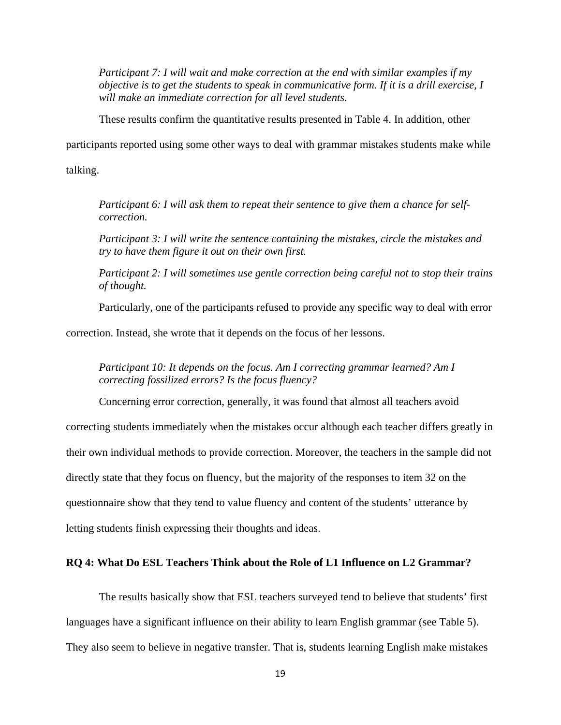*Participant 7: I will wait and make correction at the end with similar examples if my objective is to get the students to speak in communicative form. If it is a drill exercise, I will make an immediate correction for all level students.* 

These results confirm the quantitative results presented in Table 4. In addition, other

participants reported using some other ways to deal with grammar mistakes students make while

talking.

*Participant 6: I will ask them to repeat their sentence to give them a chance for selfcorrection.* 

*Participant 3: I will write the sentence containing the mistakes, circle the mistakes and try to have them figure it out on their own first.* 

*Participant 2: I will sometimes use gentle correction being careful not to stop their trains of thought.* 

Particularly, one of the participants refused to provide any specific way to deal with error

correction. Instead, she wrote that it depends on the focus of her lessons.

*Participant 10: It depends on the focus. Am I correcting grammar learned? Am I correcting fossilized errors? Is the focus fluency?* 

Concerning error correction, generally, it was found that almost all teachers avoid correcting students immediately when the mistakes occur although each teacher differs greatly in their own individual methods to provide correction. Moreover, the teachers in the sample did not directly state that they focus on fluency, but the majority of the responses to item 32 on the questionnaire show that they tend to value fluency and content of the students' utterance by letting students finish expressing their thoughts and ideas.

### **RQ 4: What Do ESL Teachers Think about the Role of L1 Influence on L2 Grammar?**

The results basically show that ESL teachers surveyed tend to believe that students' first languages have a significant influence on their ability to learn English grammar (see Table 5). They also seem to believe in negative transfer. That is, students learning English make mistakes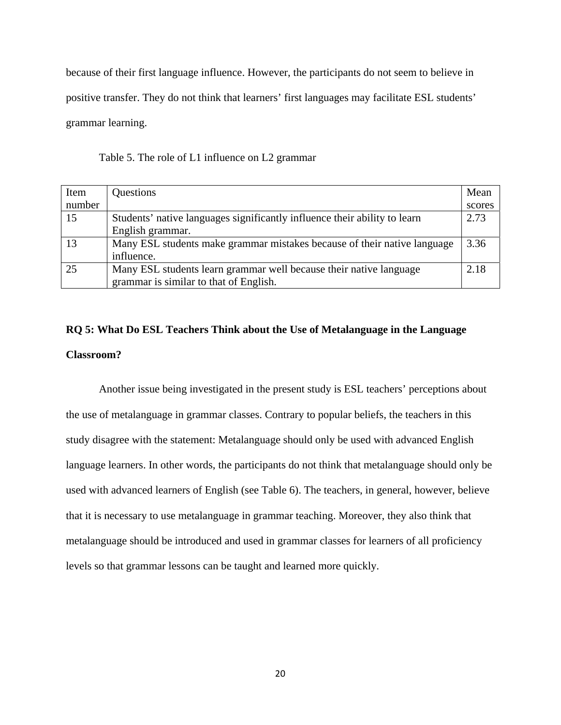because of their first language influence. However, the participants do not seem to believe in positive transfer. They do not think that learners' first languages may facilitate ESL students' grammar learning.

Table 5. The role of L1 influence on L2 grammar

| Item   | Questions                                                                 | Mean   |
|--------|---------------------------------------------------------------------------|--------|
| number |                                                                           | scores |
| 15     | Students' native languages significantly influence their ability to learn | 2.73   |
|        | English grammar.                                                          |        |
| 13     | Many ESL students make grammar mistakes because of their native language  | 3.36   |
|        | influence.                                                                |        |
| 25     | Many ESL students learn grammar well because their native language        | 2.18   |
|        | grammar is similar to that of English.                                    |        |

## **RQ 5: What Do ESL Teachers Think about the Use of Metalanguage in the Language Classroom?**

Another issue being investigated in the present study is ESL teachers' perceptions about the use of metalanguage in grammar classes. Contrary to popular beliefs, the teachers in this study disagree with the statement: Metalanguage should only be used with advanced English language learners. In other words, the participants do not think that metalanguage should only be used with advanced learners of English (see Table 6). The teachers, in general, however, believe that it is necessary to use metalanguage in grammar teaching. Moreover, they also think that metalanguage should be introduced and used in grammar classes for learners of all proficiency levels so that grammar lessons can be taught and learned more quickly.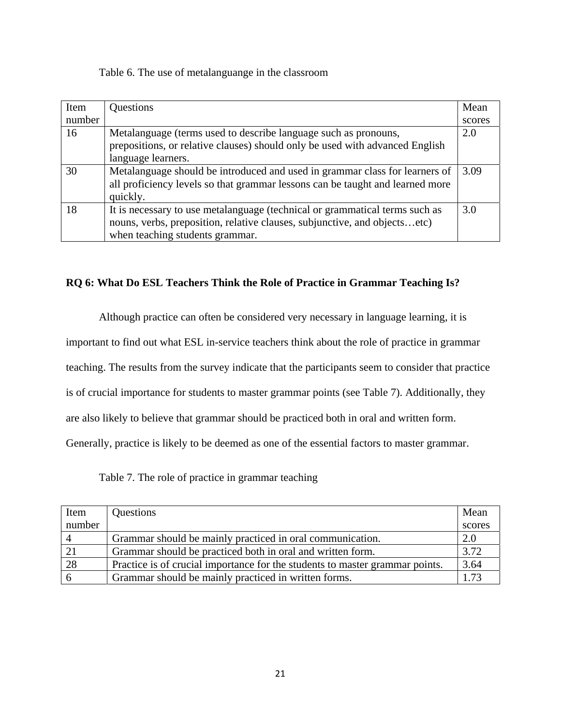Table 6. The use of metalanguange in the classroom

| Item   | <b>Questions</b>                                                              | Mean   |
|--------|-------------------------------------------------------------------------------|--------|
| number |                                                                               | scores |
| 16     | Metalanguage (terms used to describe language such as pronouns,               | 2.0    |
|        | prepositions, or relative clauses) should only be used with advanced English  |        |
|        | language learners.                                                            |        |
| 30     | Metalanguage should be introduced and used in grammar class for learners of   | 3.09   |
|        | all proficiency levels so that grammar lessons can be taught and learned more |        |
|        | quickly.                                                                      |        |
| 18     | It is necessary to use metalanguage (technical or grammatical terms such as   | 3.0    |
|        | nouns, verbs, preposition, relative clauses, subjunctive, and objectsetc)     |        |
|        | when teaching students grammar.                                               |        |

## **RQ 6: What Do ESL Teachers Think the Role of Practice in Grammar Teaching Is?**

Although practice can often be considered very necessary in language learning, it is

important to find out what ESL in-service teachers think about the role of practice in grammar

teaching. The results from the survey indicate that the participants seem to consider that practice

is of crucial importance for students to master grammar points (see Table 7). Additionally, they

are also likely to believe that grammar should be practiced both in oral and written form.

Generally, practice is likely to be deemed as one of the essential factors to master grammar.

Table 7. The role of practice in grammar teaching

| Item           | Questions                                                                    | Mean   |
|----------------|------------------------------------------------------------------------------|--------|
| number         |                                                                              | scores |
| $\overline{4}$ | Grammar should be mainly practiced in oral communication.                    | 2.0    |
|                | Grammar should be practiced both in oral and written form.                   | 3.72   |
| 28             | Practice is of crucial importance for the students to master grammar points. | 3.64   |
|                | Grammar should be mainly practiced in written forms.                         | 1.73   |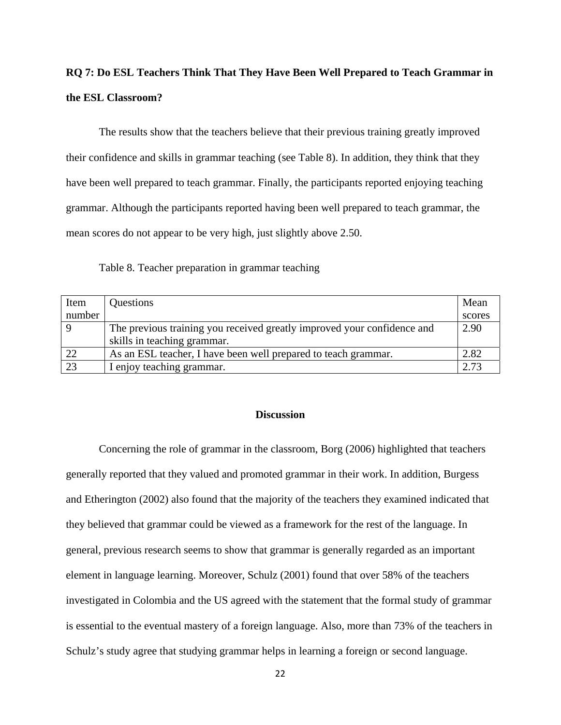## **RQ 7: Do ESL Teachers Think That They Have Been Well Prepared to Teach Grammar in the ESL Classroom?**

The results show that the teachers believe that their previous training greatly improved their confidence and skills in grammar teaching (see Table 8). In addition, they think that they have been well prepared to teach grammar. Finally, the participants reported enjoying teaching grammar. Although the participants reported having been well prepared to teach grammar, the mean scores do not appear to be very high, just slightly above 2.50.

Table 8. Teacher preparation in grammar teaching

| Item   | Questions                                                               | Mean   |
|--------|-------------------------------------------------------------------------|--------|
| number |                                                                         | scores |
|        | The previous training you received greatly improved your confidence and | 2.90   |
|        | skills in teaching grammar.                                             |        |
| 22     | As an ESL teacher, I have been well prepared to teach grammar.          | 2.82   |
| 23     | I enjoy teaching grammar.                                               | 2.73   |

#### **Discussion**

Concerning the role of grammar in the classroom, Borg (2006) highlighted that teachers generally reported that they valued and promoted grammar in their work. In addition, Burgess and Etherington (2002) also found that the majority of the teachers they examined indicated that they believed that grammar could be viewed as a framework for the rest of the language. In general, previous research seems to show that grammar is generally regarded as an important element in language learning. Moreover, Schulz (2001) found that over 58% of the teachers investigated in Colombia and the US agreed with the statement that the formal study of grammar is essential to the eventual mastery of a foreign language. Also, more than 73% of the teachers in Schulz's study agree that studying grammar helps in learning a foreign or second language.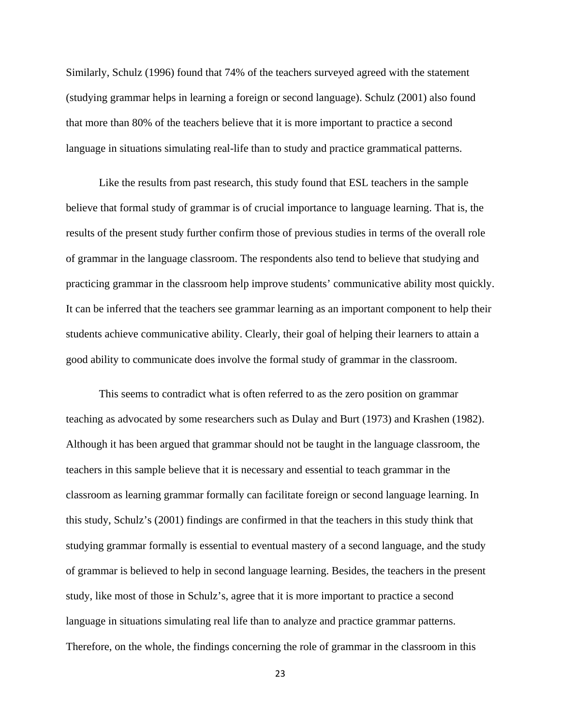Similarly, Schulz (1996) found that 74% of the teachers surveyed agreed with the statement (studying grammar helps in learning a foreign or second language). Schulz (2001) also found that more than 80% of the teachers believe that it is more important to practice a second language in situations simulating real-life than to study and practice grammatical patterns.

Like the results from past research, this study found that ESL teachers in the sample believe that formal study of grammar is of crucial importance to language learning. That is, the results of the present study further confirm those of previous studies in terms of the overall role of grammar in the language classroom. The respondents also tend to believe that studying and practicing grammar in the classroom help improve students' communicative ability most quickly. It can be inferred that the teachers see grammar learning as an important component to help their students achieve communicative ability. Clearly, their goal of helping their learners to attain a good ability to communicate does involve the formal study of grammar in the classroom.

This seems to contradict what is often referred to as the zero position on grammar teaching as advocated by some researchers such as Dulay and Burt (1973) and Krashen (1982). Although it has been argued that grammar should not be taught in the language classroom, the teachers in this sample believe that it is necessary and essential to teach grammar in the classroom as learning grammar formally can facilitate foreign or second language learning. In this study, Schulz's (2001) findings are confirmed in that the teachers in this study think that studying grammar formally is essential to eventual mastery of a second language, and the study of grammar is believed to help in second language learning. Besides, the teachers in the present study, like most of those in Schulz's, agree that it is more important to practice a second language in situations simulating real life than to analyze and practice grammar patterns. Therefore, on the whole, the findings concerning the role of grammar in the classroom in this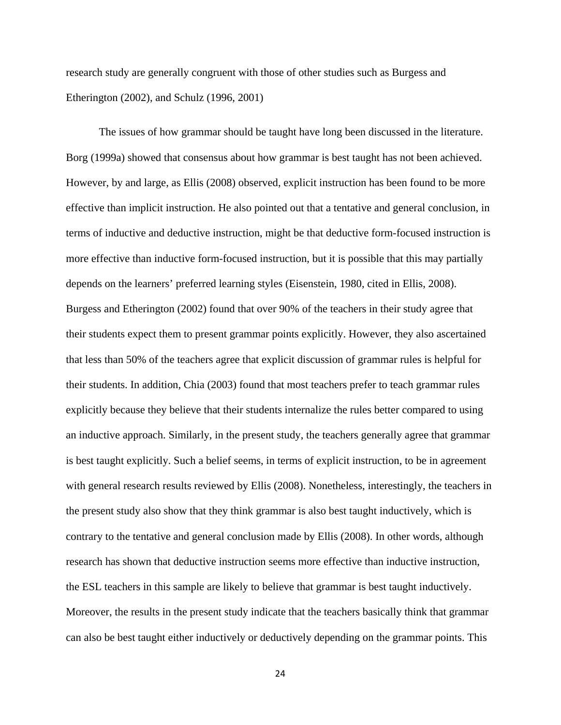research study are generally congruent with those of other studies such as Burgess and Etherington (2002), and Schulz (1996, 2001)

The issues of how grammar should be taught have long been discussed in the literature. Borg (1999a) showed that consensus about how grammar is best taught has not been achieved. However, by and large, as Ellis (2008) observed, explicit instruction has been found to be more effective than implicit instruction. He also pointed out that a tentative and general conclusion, in terms of inductive and deductive instruction, might be that deductive form-focused instruction is more effective than inductive form-focused instruction, but it is possible that this may partially depends on the learners' preferred learning styles (Eisenstein, 1980, cited in Ellis, 2008). Burgess and Etherington (2002) found that over 90% of the teachers in their study agree that their students expect them to present grammar points explicitly. However, they also ascertained that less than 50% of the teachers agree that explicit discussion of grammar rules is helpful for their students. In addition, Chia (2003) found that most teachers prefer to teach grammar rules explicitly because they believe that their students internalize the rules better compared to using an inductive approach. Similarly, in the present study, the teachers generally agree that grammar is best taught explicitly. Such a belief seems, in terms of explicit instruction, to be in agreement with general research results reviewed by Ellis (2008). Nonetheless, interestingly, the teachers in the present study also show that they think grammar is also best taught inductively, which is contrary to the tentative and general conclusion made by Ellis (2008). In other words, although research has shown that deductive instruction seems more effective than inductive instruction, the ESL teachers in this sample are likely to believe that grammar is best taught inductively. Moreover, the results in the present study indicate that the teachers basically think that grammar can also be best taught either inductively or deductively depending on the grammar points. This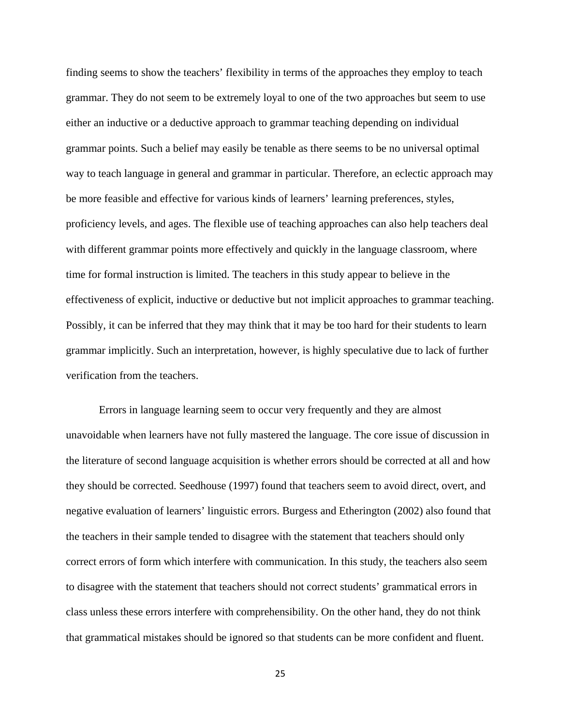finding seems to show the teachers' flexibility in terms of the approaches they employ to teach grammar. They do not seem to be extremely loyal to one of the two approaches but seem to use either an inductive or a deductive approach to grammar teaching depending on individual grammar points. Such a belief may easily be tenable as there seems to be no universal optimal way to teach language in general and grammar in particular. Therefore, an eclectic approach may be more feasible and effective for various kinds of learners' learning preferences, styles, proficiency levels, and ages. The flexible use of teaching approaches can also help teachers deal with different grammar points more effectively and quickly in the language classroom, where time for formal instruction is limited. The teachers in this study appear to believe in the effectiveness of explicit, inductive or deductive but not implicit approaches to grammar teaching. Possibly, it can be inferred that they may think that it may be too hard for their students to learn grammar implicitly. Such an interpretation, however, is highly speculative due to lack of further verification from the teachers.

Errors in language learning seem to occur very frequently and they are almost unavoidable when learners have not fully mastered the language. The core issue of discussion in the literature of second language acquisition is whether errors should be corrected at all and how they should be corrected. Seedhouse (1997) found that teachers seem to avoid direct, overt, and negative evaluation of learners' linguistic errors. Burgess and Etherington (2002) also found that the teachers in their sample tended to disagree with the statement that teachers should only correct errors of form which interfere with communication. In this study, the teachers also seem to disagree with the statement that teachers should not correct students' grammatical errors in class unless these errors interfere with comprehensibility. On the other hand, they do not think that grammatical mistakes should be ignored so that students can be more confident and fluent.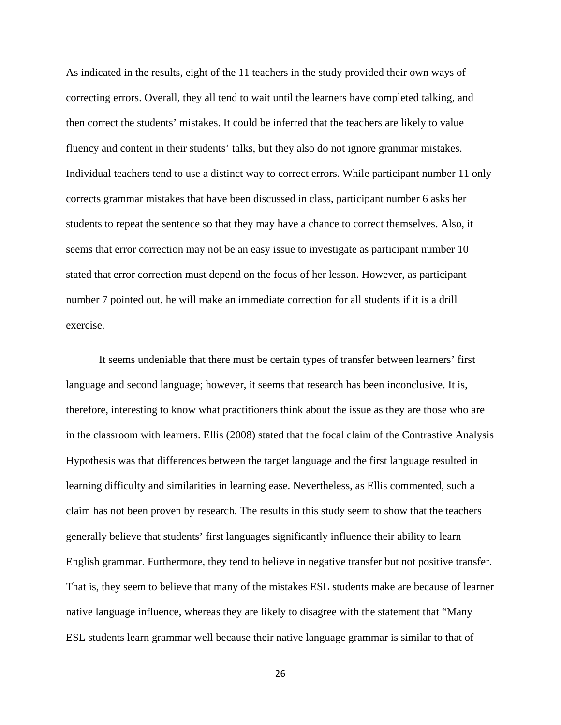As indicated in the results, eight of the 11 teachers in the study provided their own ways of correcting errors. Overall, they all tend to wait until the learners have completed talking, and then correct the students' mistakes. It could be inferred that the teachers are likely to value fluency and content in their students' talks, but they also do not ignore grammar mistakes. Individual teachers tend to use a distinct way to correct errors. While participant number 11 only corrects grammar mistakes that have been discussed in class, participant number 6 asks her students to repeat the sentence so that they may have a chance to correct themselves. Also, it seems that error correction may not be an easy issue to investigate as participant number 10 stated that error correction must depend on the focus of her lesson. However, as participant number 7 pointed out, he will make an immediate correction for all students if it is a drill exercise.

It seems undeniable that there must be certain types of transfer between learners' first language and second language; however, it seems that research has been inconclusive. It is, therefore, interesting to know what practitioners think about the issue as they are those who are in the classroom with learners. Ellis (2008) stated that the focal claim of the Contrastive Analysis Hypothesis was that differences between the target language and the first language resulted in learning difficulty and similarities in learning ease. Nevertheless, as Ellis commented, such a claim has not been proven by research. The results in this study seem to show that the teachers generally believe that students' first languages significantly influence their ability to learn English grammar. Furthermore, they tend to believe in negative transfer but not positive transfer. That is, they seem to believe that many of the mistakes ESL students make are because of learner native language influence, whereas they are likely to disagree with the statement that "Many ESL students learn grammar well because their native language grammar is similar to that of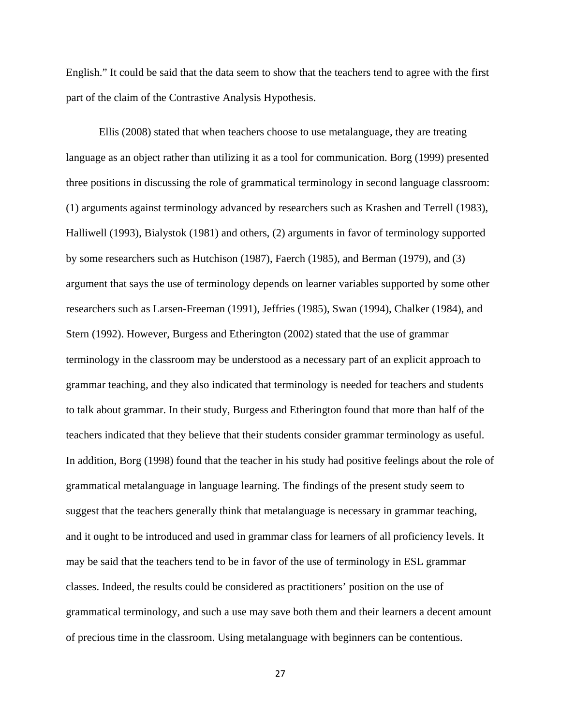English." It could be said that the data seem to show that the teachers tend to agree with the first part of the claim of the Contrastive Analysis Hypothesis.

Ellis (2008) stated that when teachers choose to use metalanguage, they are treating language as an object rather than utilizing it as a tool for communication. Borg (1999) presented three positions in discussing the role of grammatical terminology in second language classroom: (1) arguments against terminology advanced by researchers such as Krashen and Terrell (1983), Halliwell (1993), Bialystok (1981) and others, (2) arguments in favor of terminology supported by some researchers such as Hutchison (1987), Faerch (1985), and Berman (1979), and (3) argument that says the use of terminology depends on learner variables supported by some other researchers such as Larsen-Freeman (1991), Jeffries (1985), Swan (1994), Chalker (1984), and Stern (1992). However, Burgess and Etherington (2002) stated that the use of grammar terminology in the classroom may be understood as a necessary part of an explicit approach to grammar teaching, and they also indicated that terminology is needed for teachers and students to talk about grammar. In their study, Burgess and Etherington found that more than half of the teachers indicated that they believe that their students consider grammar terminology as useful. In addition, Borg (1998) found that the teacher in his study had positive feelings about the role of grammatical metalanguage in language learning. The findings of the present study seem to suggest that the teachers generally think that metalanguage is necessary in grammar teaching, and it ought to be introduced and used in grammar class for learners of all proficiency levels. It may be said that the teachers tend to be in favor of the use of terminology in ESL grammar classes. Indeed, the results could be considered as practitioners' position on the use of grammatical terminology, and such a use may save both them and their learners a decent amount of precious time in the classroom. Using metalanguage with beginners can be contentious.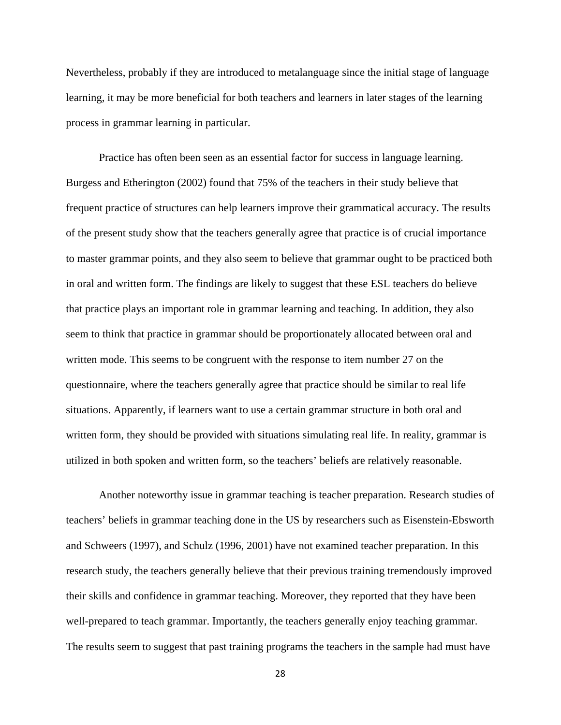Nevertheless, probably if they are introduced to metalanguage since the initial stage of language learning, it may be more beneficial for both teachers and learners in later stages of the learning process in grammar learning in particular.

 Practice has often been seen as an essential factor for success in language learning. Burgess and Etherington (2002) found that 75% of the teachers in their study believe that frequent practice of structures can help learners improve their grammatical accuracy. The results of the present study show that the teachers generally agree that practice is of crucial importance to master grammar points, and they also seem to believe that grammar ought to be practiced both in oral and written form. The findings are likely to suggest that these ESL teachers do believe that practice plays an important role in grammar learning and teaching. In addition, they also seem to think that practice in grammar should be proportionately allocated between oral and written mode. This seems to be congruent with the response to item number 27 on the questionnaire, where the teachers generally agree that practice should be similar to real life situations. Apparently, if learners want to use a certain grammar structure in both oral and written form, they should be provided with situations simulating real life. In reality, grammar is utilized in both spoken and written form, so the teachers' beliefs are relatively reasonable.

Another noteworthy issue in grammar teaching is teacher preparation. Research studies of teachers' beliefs in grammar teaching done in the US by researchers such as Eisenstein-Ebsworth and Schweers (1997), and Schulz (1996, 2001) have not examined teacher preparation. In this research study, the teachers generally believe that their previous training tremendously improved their skills and confidence in grammar teaching. Moreover, they reported that they have been well-prepared to teach grammar. Importantly, the teachers generally enjoy teaching grammar. The results seem to suggest that past training programs the teachers in the sample had must have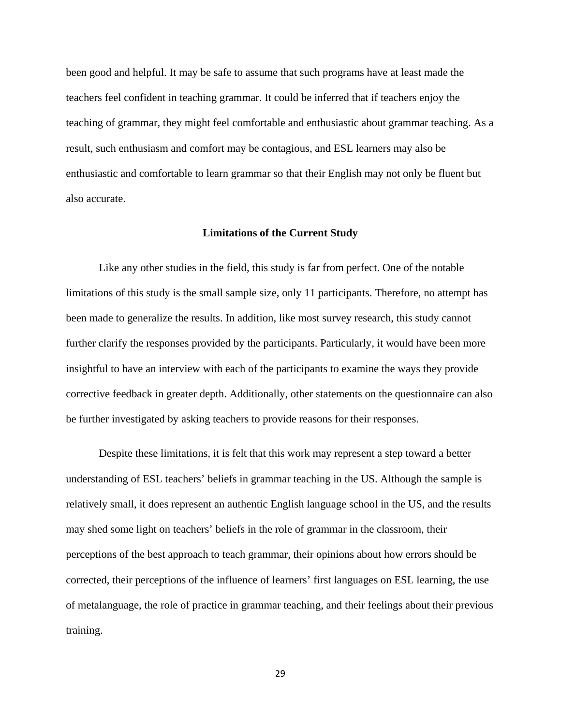been good and helpful. It may be safe to assume that such programs have at least made the teachers feel confident in teaching grammar. It could be inferred that if teachers enjoy the teaching of grammar, they might feel comfortable and enthusiastic about grammar teaching. As a result, such enthusiasm and comfort may be contagious, and ESL learners may also be enthusiastic and comfortable to learn grammar so that their English may not only be fluent but also accurate.

#### **Limitations of the Current Study**

Like any other studies in the field, this study is far from perfect. One of the notable limitations of this study is the small sample size, only 11 participants. Therefore, no attempt has been made to generalize the results. In addition, like most survey research, this study cannot further clarify the responses provided by the participants. Particularly, it would have been more insightful to have an interview with each of the participants to examine the ways they provide corrective feedback in greater depth. Additionally, other statements on the questionnaire can also be further investigated by asking teachers to provide reasons for their responses.

Despite these limitations, it is felt that this work may represent a step toward a better understanding of ESL teachers' beliefs in grammar teaching in the US. Although the sample is relatively small, it does represent an authentic English language school in the US, and the results may shed some light on teachers' beliefs in the role of grammar in the classroom, their perceptions of the best approach to teach grammar, their opinions about how errors should be corrected, their perceptions of the influence of learners' first languages on ESL learning, the use of metalanguage, the role of practice in grammar teaching, and their feelings about their previous training.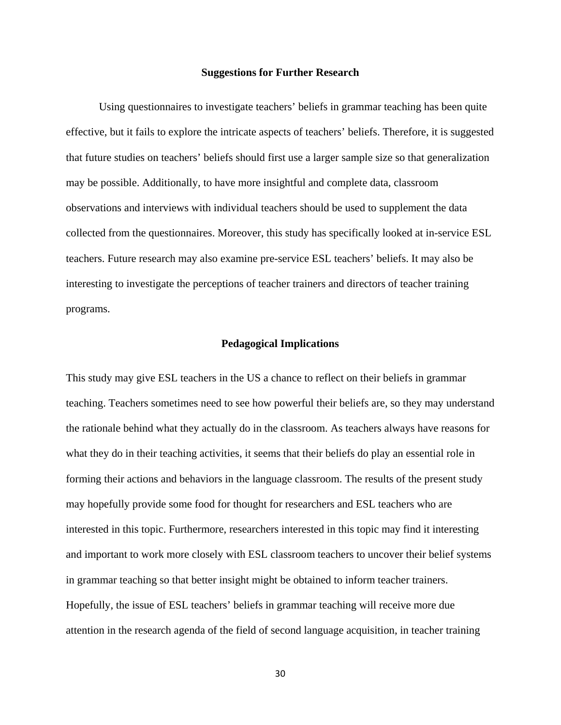#### **Suggestions for Further Research**

Using questionnaires to investigate teachers' beliefs in grammar teaching has been quite effective, but it fails to explore the intricate aspects of teachers' beliefs. Therefore, it is suggested that future studies on teachers' beliefs should first use a larger sample size so that generalization may be possible. Additionally, to have more insightful and complete data, classroom observations and interviews with individual teachers should be used to supplement the data collected from the questionnaires. Moreover, this study has specifically looked at in-service ESL teachers. Future research may also examine pre-service ESL teachers' beliefs. It may also be interesting to investigate the perceptions of teacher trainers and directors of teacher training programs.

#### **Pedagogical Implications**

This study may give ESL teachers in the US a chance to reflect on their beliefs in grammar teaching. Teachers sometimes need to see how powerful their beliefs are, so they may understand the rationale behind what they actually do in the classroom. As teachers always have reasons for what they do in their teaching activities, it seems that their beliefs do play an essential role in forming their actions and behaviors in the language classroom. The results of the present study may hopefully provide some food for thought for researchers and ESL teachers who are interested in this topic. Furthermore, researchers interested in this topic may find it interesting and important to work more closely with ESL classroom teachers to uncover their belief systems in grammar teaching so that better insight might be obtained to inform teacher trainers. Hopefully, the issue of ESL teachers' beliefs in grammar teaching will receive more due attention in the research agenda of the field of second language acquisition, in teacher training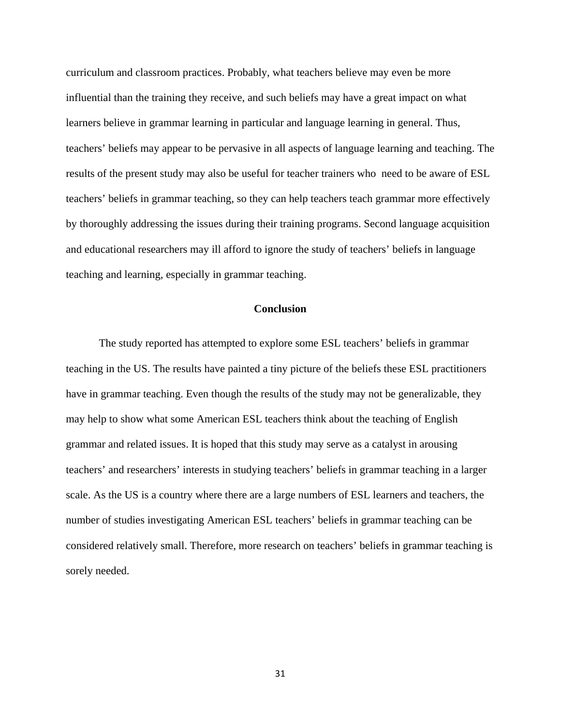curriculum and classroom practices. Probably, what teachers believe may even be more influential than the training they receive, and such beliefs may have a great impact on what learners believe in grammar learning in particular and language learning in general. Thus, teachers' beliefs may appear to be pervasive in all aspects of language learning and teaching. The results of the present study may also be useful for teacher trainers who need to be aware of ESL teachers' beliefs in grammar teaching, so they can help teachers teach grammar more effectively by thoroughly addressing the issues during their training programs. Second language acquisition and educational researchers may ill afford to ignore the study of teachers' beliefs in language teaching and learning, especially in grammar teaching.

#### **Conclusion**

The study reported has attempted to explore some ESL teachers' beliefs in grammar teaching in the US. The results have painted a tiny picture of the beliefs these ESL practitioners have in grammar teaching. Even though the results of the study may not be generalizable, they may help to show what some American ESL teachers think about the teaching of English grammar and related issues. It is hoped that this study may serve as a catalyst in arousing teachers' and researchers' interests in studying teachers' beliefs in grammar teaching in a larger scale. As the US is a country where there are a large numbers of ESL learners and teachers, the number of studies investigating American ESL teachers' beliefs in grammar teaching can be considered relatively small. Therefore, more research on teachers' beliefs in grammar teaching is sorely needed.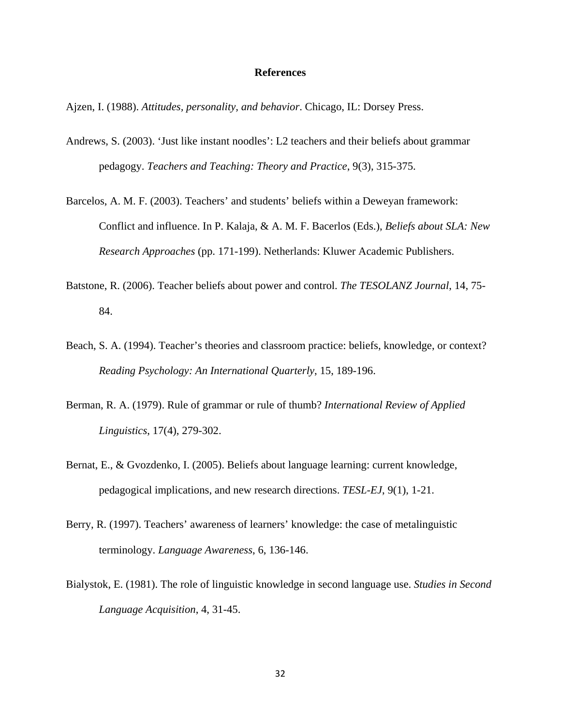#### **References**

Ajzen, I. (1988). *Attitudes, personality, and behavior*. Chicago, IL: Dorsey Press.

- Andrews, S. (2003). 'Just like instant noodles': L2 teachers and their beliefs about grammar pedagogy. *Teachers and Teaching: Theory and Practice*, 9(3), 315-375.
- Barcelos, A. M. F. (2003). Teachers' and students' beliefs within a Deweyan framework: Conflict and influence. In P. Kalaja, & A. M. F. Bacerlos (Eds.), *Beliefs about SLA: New Research Approaches* (pp. 171-199). Netherlands: Kluwer Academic Publishers.
- Batstone, R. (2006). Teacher beliefs about power and control. *The TESOLANZ Journal*, 14, 75- 84.
- Beach, S. A. (1994). Teacher's theories and classroom practice: beliefs, knowledge, or context? *Reading Psychology: An International Quarterly*, 15, 189-196.
- Berman, R. A. (1979). Rule of grammar or rule of thumb? *International Review of Applied Linguistics*, 17(4), 279-302.
- Bernat, E., & Gvozdenko, I. (2005). Beliefs about language learning: current knowledge, pedagogical implications, and new research directions. *TESL-EJ*, 9(1), 1-21.
- Berry, R. (1997). Teachers' awareness of learners' knowledge: the case of metalinguistic terminology. *Language Awareness*, 6, 136-146.
- Bialystok, E. (1981). The role of linguistic knowledge in second language use. *Studies in Second Language Acquisition*, 4, 31-45.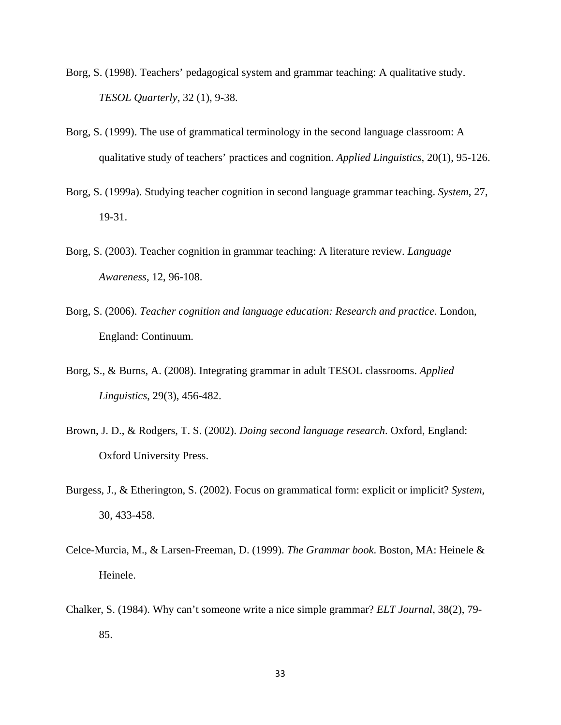- Borg, S. (1998). Teachers' pedagogical system and grammar teaching: A qualitative study. *TESOL Quarterly*, 32 (1), 9-38.
- Borg, S. (1999). The use of grammatical terminology in the second language classroom: A qualitative study of teachers' practices and cognition. *Applied Linguistics*, 20(1), 95-126.
- Borg, S. (1999a). Studying teacher cognition in second language grammar teaching. *System*, 27, 19-31.
- Borg, S. (2003). Teacher cognition in grammar teaching: A literature review. *Language Awareness*, 12, 96-108.
- Borg, S. (2006). *Teacher cognition and language education: Research and practice*. London, England: Continuum.
- Borg, S., & Burns, A. (2008). Integrating grammar in adult TESOL classrooms. *Applied Linguistics*, 29(3), 456-482.
- Brown, J. D., & Rodgers, T. S. (2002). *Doing second language research*. Oxford, England: Oxford University Press.
- Burgess, J., & Etherington, S. (2002). Focus on grammatical form: explicit or implicit? *System*, 30, 433-458.
- Celce-Murcia, M., & Larsen-Freeman, D. (1999). *The Grammar book*. Boston, MA: Heinele & Heinele.
- Chalker, S. (1984). Why can't someone write a nice simple grammar? *ELT Journal*, 38(2), 79- 85.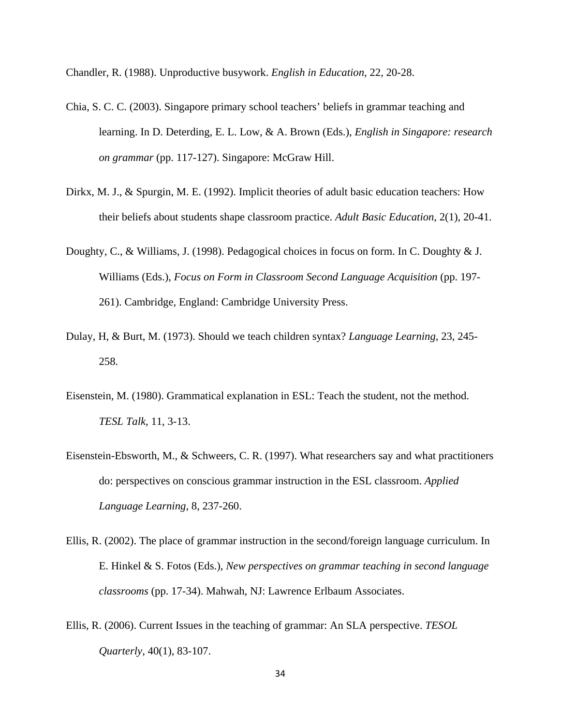Chandler, R. (1988). Unproductive busywork. *English in Education*, 22, 20-28.

- Chia, S. C. C. (2003). Singapore primary school teachers' beliefs in grammar teaching and learning. In D. Deterding, E. L. Low, & A. Brown (Eds.), *English in Singapore: research on grammar* (pp. 117-127). Singapore: McGraw Hill.
- Dirkx, M. J., & Spurgin, M. E. (1992). Implicit theories of adult basic education teachers: How their beliefs about students shape classroom practice. *Adult Basic Education*, 2(1), 20-41.
- Doughty, C., & Williams, J. (1998). Pedagogical choices in focus on form. In C. Doughty & J. Williams (Eds.), *Focus on Form in Classroom Second Language Acquisition* (pp. 197- 261). Cambridge, England: Cambridge University Press.
- Dulay, H, & Burt, M. (1973). Should we teach children syntax? *Language Learning*, 23, 245- 258.
- Eisenstein, M. (1980). Grammatical explanation in ESL: Teach the student, not the method. *TESL Talk*, 11, 3-13.
- Eisenstein-Ebsworth, M., & Schweers, C. R. (1997). What researchers say and what practitioners do: perspectives on conscious grammar instruction in the ESL classroom. *Applied Language Learning*, 8, 237-260.
- Ellis, R. (2002). The place of grammar instruction in the second/foreign language curriculum. In E. Hinkel & S. Fotos (Eds.), *New perspectives on grammar teaching in second language classrooms* (pp. 17-34). Mahwah, NJ: Lawrence Erlbaum Associates.
- Ellis, R. (2006). Current Issues in the teaching of grammar: An SLA perspective. *TESOL Quarterly*, 40(1), 83-107.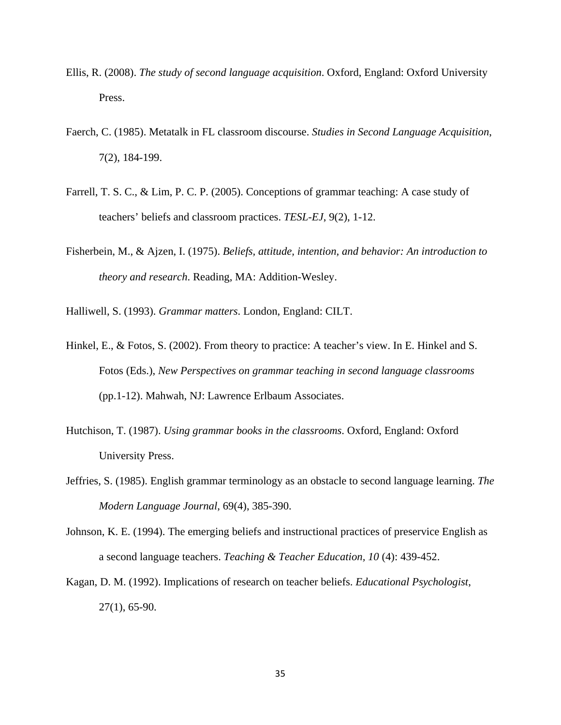- Ellis, R. (2008). *The study of second language acquisition*. Oxford, England: Oxford University Press.
- Faerch, C. (1985). Metatalk in FL classroom discourse. *Studies in Second Language Acquisition*, 7(2), 184-199.
- Farrell, T. S. C., & Lim, P. C. P. (2005). Conceptions of grammar teaching: A case study of teachers' beliefs and classroom practices. *TESL-EJ*, 9(2), 1-12.
- Fisherbein, M., & Ajzen, I. (1975). *Beliefs, attitude, intention, and behavior: An introduction to theory and research*. Reading, MA: Addition-Wesley.

Halliwell, S. (1993). *Grammar matters*. London, England: CILT.

- Hinkel, E., & Fotos, S. (2002). From theory to practice: A teacher's view. In E. Hinkel and S. Fotos (Eds.), *New Perspectives on grammar teaching in second language classrooms* (pp.1-12). Mahwah, NJ: Lawrence Erlbaum Associates.
- Hutchison, T. (1987). *Using grammar books in the classrooms*. Oxford, England: Oxford University Press.
- Jeffries, S. (1985). English grammar terminology as an obstacle to second language learning. *The Modern Language Journal*, 69(4), 385-390.
- Johnson, K. E. (1994). The emerging beliefs and instructional practices of preservice English as a second language teachers. *Teaching & Teacher Education, 10* (4): 439-452.
- Kagan, D. M. (1992). Implications of research on teacher beliefs. *Educational Psychologist*, 27(1), 65-90.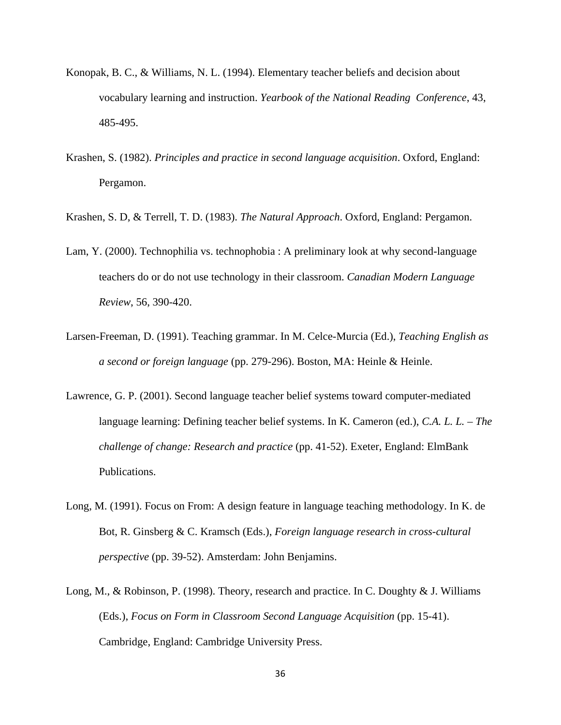- Konopak, B. C., & Williams, N. L. (1994). Elementary teacher beliefs and decision about vocabulary learning and instruction. *Yearbook of the National Reading Conference*, 43, 485-495.
- Krashen, S. (1982). *Principles and practice in second language acquisition*. Oxford, England: Pergamon.
- Krashen, S. D, & Terrell, T. D. (1983). *The Natural Approach*. Oxford, England: Pergamon.
- Lam, Y. (2000). Technophilia vs. technophobia : A preliminary look at why second-language teachers do or do not use technology in their classroom. *Canadian Modern Language Review*, 56, 390-420.
- Larsen-Freeman, D. (1991). Teaching grammar. In M. Celce-Murcia (Ed.), *Teaching English as a second or foreign language* (pp. 279-296). Boston, MA: Heinle & Heinle.
- Lawrence, G. P. (2001). Second language teacher belief systems toward computer-mediated language learning: Defining teacher belief systems. In K. Cameron (ed.), *C.A. L. L. – The challenge of change: Research and practice* (pp. 41-52). Exeter, England: ElmBank Publications.
- Long, M. (1991). Focus on From: A design feature in language teaching methodology. In K. de Bot, R. Ginsberg & C. Kramsch (Eds.), *Foreign language research in cross-cultural perspective* (pp. 39-52). Amsterdam: John Benjamins.
- Long, M., & Robinson, P. (1998). Theory, research and practice. In C. Doughty & J. Williams (Eds.), *Focus on Form in Classroom Second Language Acquisition* (pp. 15-41). Cambridge, England: Cambridge University Press.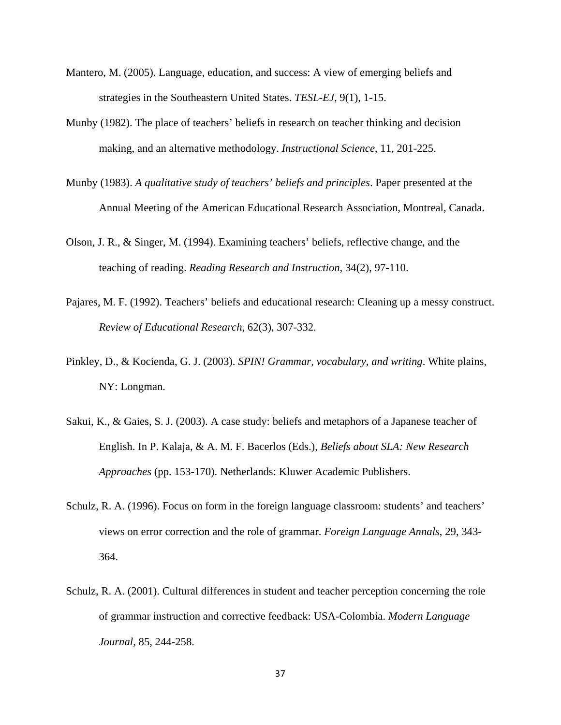- Mantero, M. (2005). Language, education, and success: A view of emerging beliefs and strategies in the Southeastern United States. *TESL-EJ*, 9(1), 1-15.
- Munby (1982). The place of teachers' beliefs in research on teacher thinking and decision making, and an alternative methodology. *Instructional Science*, 11, 201-225.
- Munby (1983). *A qualitative study of teachers' beliefs and principles*. Paper presented at the Annual Meeting of the American Educational Research Association, Montreal, Canada.
- Olson, J. R., & Singer, M. (1994). Examining teachers' beliefs, reflective change, and the teaching of reading. *Reading Research and Instruction*, 34(2), 97-110.
- Pajares, M. F. (1992). Teachers' beliefs and educational research: Cleaning up a messy construct. *Review of Educational Research*, 62(3), 307-332.
- Pinkley, D., & Kocienda, G. J. (2003). *SPIN! Grammar, vocabulary, and writing*. White plains, NY: Longman.
- Sakui, K., & Gaies, S. J. (2003). A case study: beliefs and metaphors of a Japanese teacher of English. In P. Kalaja, & A. M. F. Bacerlos (Eds.), *Beliefs about SLA: New Research Approaches* (pp. 153-170). Netherlands: Kluwer Academic Publishers.
- Schulz, R. A. (1996). Focus on form in the foreign language classroom: students' and teachers' views on error correction and the role of grammar. *Foreign Language Annals*, 29, 343- 364.
- Schulz, R. A. (2001). Cultural differences in student and teacher perception concerning the role of grammar instruction and corrective feedback: USA-Colombia. *Modern Language Journal*, 85, 244-258.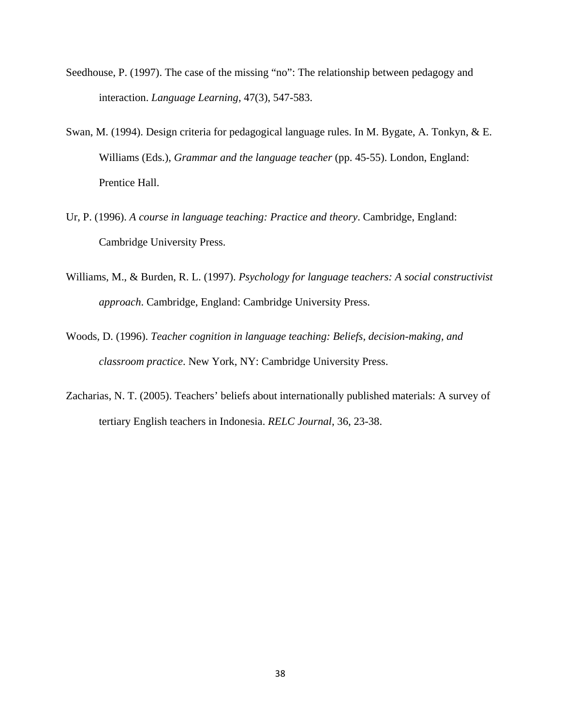- Seedhouse, P. (1997). The case of the missing "no": The relationship between pedagogy and interaction. *Language Learning*, 47(3), 547-583.
- Swan, M. (1994). Design criteria for pedagogical language rules. In M. Bygate, A. Tonkyn, & E. Williams (Eds.), *Grammar and the language teacher* (pp. 45-55). London, England: Prentice Hall.
- Ur, P. (1996). *A course in language teaching: Practice and theory*. Cambridge, England: Cambridge University Press.
- Williams, M., & Burden, R. L. (1997). *Psychology for language teachers: A social constructivist approach*. Cambridge, England: Cambridge University Press.
- Woods, D. (1996). *Teacher cognition in language teaching: Beliefs, decision-making, and classroom practice*. New York, NY: Cambridge University Press.
- Zacharias, N. T. (2005). Teachers' beliefs about internationally published materials: A survey of tertiary English teachers in Indonesia. *RELC Journal*, 36, 23-38.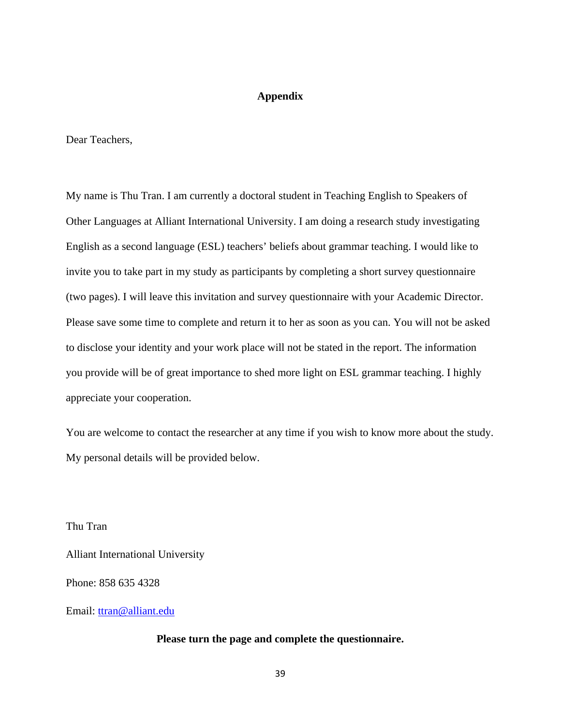## **Appendix**

Dear Teachers,

My name is Thu Tran. I am currently a doctoral student in Teaching English to Speakers of Other Languages at Alliant International University. I am doing a research study investigating English as a second language (ESL) teachers' beliefs about grammar teaching. I would like to invite you to take part in my study as participants by completing a short survey questionnaire (two pages). I will leave this invitation and survey questionnaire with your Academic Director. Please save some time to complete and return it to her as soon as you can. You will not be asked to disclose your identity and your work place will not be stated in the report. The information you provide will be of great importance to shed more light on ESL grammar teaching. I highly appreciate your cooperation.

You are welcome to contact the researcher at any time if you wish to know more about the study. My personal details will be provided below.

Thu Tran

Alliant International University

Phone: 858 635 4328

Email: [ttran@alliant.edu](mailto:ttran@alliant.edu)

#### **Please turn the page and complete the questionnaire.**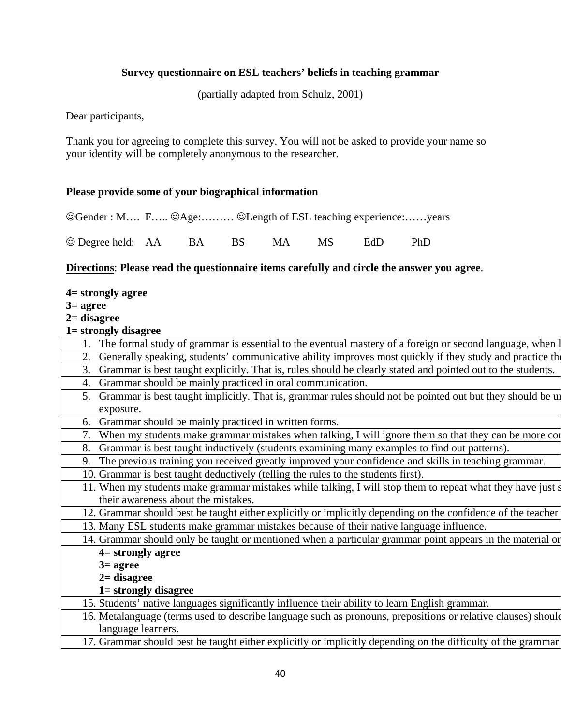## **Survey questionnaire on ESL teachers' beliefs in teaching grammar**

(partially adapted from Schulz, 2001)

Dear participants,

Thank you for agreeing to complete this survey. You will not be asked to provide your name so your identity will be completely anonymous to the researcher.

## **Please provide some of your biographical information**

☺Gender : M…. F….. ☺Age:……… ☺Length of ESL teaching experience:……years

☺ Degree held: AA BA BS MA MS EdD PhD

## **Directions**: **Please read the questionnaire items carefully and circle the answer you agree**.

- **4= strongly agree**
- **3= agree**
- **2= disagree**
- **1= strongly disagree**

| The formal study of grammar is essential to the eventual mastery of a foreign or second language, when I          |
|-------------------------------------------------------------------------------------------------------------------|
| Generally speaking, students' communicative ability improves most quickly if they study and practice the<br>2.    |
| Grammar is best taught explicitly. That is, rules should be clearly stated and pointed out to the students.<br>3. |
| Grammar should be mainly practiced in oral communication.<br>4.                                                   |
| 5. Grammar is best taught implicitly. That is, grammar rules should not be pointed out but they should be un      |
| exposure.                                                                                                         |
| Grammar should be mainly practiced in written forms.<br>6.                                                        |
| 7. When my students make grammar mistakes when talking, I will ignore them so that they can be more con           |
| Grammar is best taught inductively (students examining many examples to find out patterns).<br>8.                 |
| 9. The previous training you received greatly improved your confidence and skills in teaching grammar.            |
| 10. Grammar is best taught deductively (telling the rules to the students first).                                 |
| 11. When my students make grammar mistakes while talking, I will stop them to repeat what they have just s        |
| their awareness about the mistakes.                                                                               |
| 12. Grammar should best be taught either explicitly or implicitly depending on the confidence of the teacher      |
| 13. Many ESL students make grammar mistakes because of their native language influence.                           |
| 14. Grammar should only be taught or mentioned when a particular grammar point appears in the material or         |
| $4 =$ strongly agree                                                                                              |
| $3 = \text{agree}$                                                                                                |
| $2=$ disagree                                                                                                     |
| 1= strongly disagree                                                                                              |
| 15. Students' native languages significantly influence their ability to learn English grammar.                    |
| 16. Metalanguage (terms used to describe language such as pronouns, prepositions or relative clauses) should      |
| language learners.                                                                                                |
| 17. Grammar should best be taught either explicitly or implicitly depending on the difficulty of the grammar      |